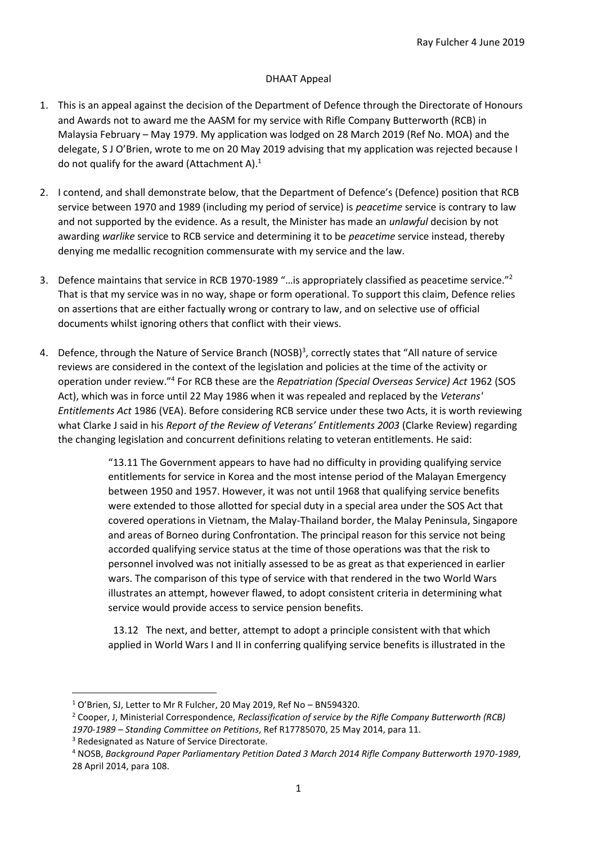## DHAAT Appeal

- 1. This is an appeal against the decision of the Department of Defence through the Directorate of Honours and Awards not to award me the AASM for my service with Rifle Company Butterworth (RCB) in Malaysia February – May 1979. My application was lodged on 28 March 2019 (Ref No. MOA) and the delegate, S J O'Brien, wrote to me on 20 May 2019 advising that my application was rejected because I do not qualify for the award (Attachment A).<sup>1</sup>
- 2. I contend, and shall demonstrate below, that the Department of Defence's (Defence) position that RCB service between 1970 and 1989 (including my period of service) is *peacetime* service is contrary to law and not supported by the evidence. As a result, the Minister has made an *unlawful* decision by not awarding *warlike* service to RCB service and determining it to be *peacetime* service instead, thereby denying me medallic recognition commensurate with my service and the law.
- 3. Defence maintains that service in RCB 1970-1989 "…is appropriately classified as peacetime service."<sup>2</sup> That is that my service was in no way, shape or form operational. To support this claim, Defence relies on assertions that are either factually wrong or contrary to law, and on selective use of official documents whilst ignoring others that conflict with their views.
- 4. Defence, through the Nature of Service Branch (NOSB)<sup>3</sup>, correctly states that "All nature of service reviews are considered in the context of the legislation and policies at the time of the activity or operation under review."<sup>4</sup> For RCB these are the *Repatriation (Special Overseas Service) Act* 1962 (SOS Act), which was in force until 22 May 1986 when it was repealed and replaced by the *Veterans' Entitlements Act* 1986 (VEA). Before considering RCB service under these two Acts, it is worth reviewing what Clarke J said in his *Report of the Review of Veterans' Entitlements 2003* (Clarke Review) regarding the changing legislation and concurrent definitions relating to veteran entitlements. He said:

"13.11 The Government appears to have had no difficulty in providing qualifying service entitlements for service in Korea and the most intense period of the Malayan Emergency between 1950 and 1957. However, it was not until 1968 that qualifying service benefits were extended to those allotted for special duty in a special area under the SOS Act that covered operations in Vietnam, the Malay-Thailand border, the Malay Peninsula, Singapore and areas of Borneo during Confrontation. The principal reason for this service not being accorded qualifying service status at the time of those operations was that the risk to personnel involved was not initially assessed to be as great as that experienced in earlier wars. The comparison of this type of service with that rendered in the two World Wars illustrates an attempt, however flawed, to adopt consistent criteria in determining what service would provide access to service pension benefits.

 13.12 The next, and better, attempt to adopt a principle consistent with that which applied in World Wars I and II in conferring qualifying service benefits is illustrated in the

<sup>1</sup> O'Brien, SJ, Letter to Mr R Fulcher, 20 May 2019, Ref No – BN594320.

<sup>2</sup> Cooper, J, Ministerial Correspondence, *Reclassification of service by the Rifle Company Butterworth (RCB) 1970-1989 – Standing Committee on Petitions*, Ref R17785070, 25 May 2014, para 11.

<sup>3</sup> Redesignated as Nature of Service Directorate.

<sup>4</sup> NOSB, *Background Paper Parliamentary Petition Dated 3 March 2014 Rifle Company Butterworth 1970-1989*, 28 April 2014, para 108.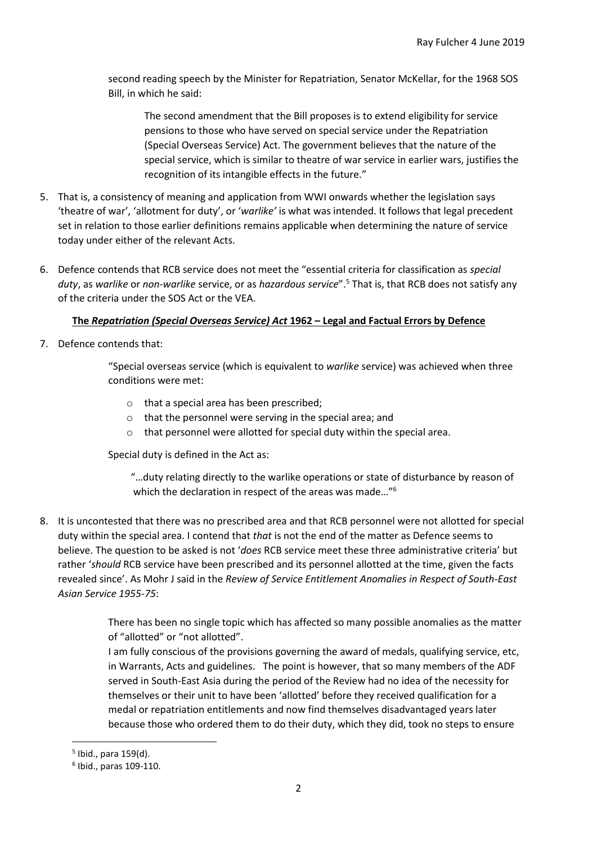second reading speech by the Minister for Repatriation, Senator McKellar, for the 1968 SOS Bill, in which he said:

The second amendment that the Bill proposes is to extend eligibility for service pensions to those who have served on special service under the Repatriation (Special Overseas Service) Act. The government believes that the nature of the special service, which is similar to theatre of war service in earlier wars, justifies the recognition of its intangible effects in the future."

- 5. That is, a consistency of meaning and application from WWI onwards whether the legislation says 'theatre of war', 'allotment for duty', or '*warlike'* is what was intended. It follows that legal precedent set in relation to those earlier definitions remains applicable when determining the nature of service today under either of the relevant Acts.
- 6. Defence contends that RCB service does not meet the "essential criteria for classification as *special duty*, as *warlike* or *non-warlike* service, or as *hazardous service*".<sup>5</sup> That is, that RCB does not satisfy any of the criteria under the SOS Act or the VEA.

# **The** *Repatriation (Special Overseas Service) Act* **1962 – Legal and Factual Errors by Defence**

7. Defence contends that:

"Special overseas service (which is equivalent to *warlike* service) was achieved when three conditions were met:

- o that a special area has been prescribed;
- o that the personnel were serving in the special area; and
- o that personnel were allotted for special duty within the special area.

Special duty is defined in the Act as:

 "…duty relating directly to the warlike operations or state of disturbance by reason of which the declaration in respect of the areas was made..."<sup>6</sup>

8. It is uncontested that there was no prescribed area and that RCB personnel were not allotted for special duty within the special area. I contend that *that* is not the end of the matter as Defence seems to believe. The question to be asked is not '*does* RCB service meet these three administrative criteria' but rather '*should* RCB service have been prescribed and its personnel allotted at the time, given the facts revealed since'. As Mohr J said in the *Review of Service Entitlement Anomalies in Respect of South-East Asian Service 1955-75*:

> There has been no single topic which has affected so many possible anomalies as the matter of "allotted" or "not allotted".

> I am fully conscious of the provisions governing the award of medals, qualifying service, etc, in Warrants, Acts and guidelines. The point is however, that so many members of the ADF served in South-East Asia during the period of the Review had no idea of the necessity for themselves or their unit to have been 'allotted' before they received qualification for a medal or repatriation entitlements and now find themselves disadvantaged years later because those who ordered them to do their duty, which they did, took no steps to ensure

<sup>5</sup> Ibid., para 159(d).

<sup>6</sup> Ibid., paras 109-110.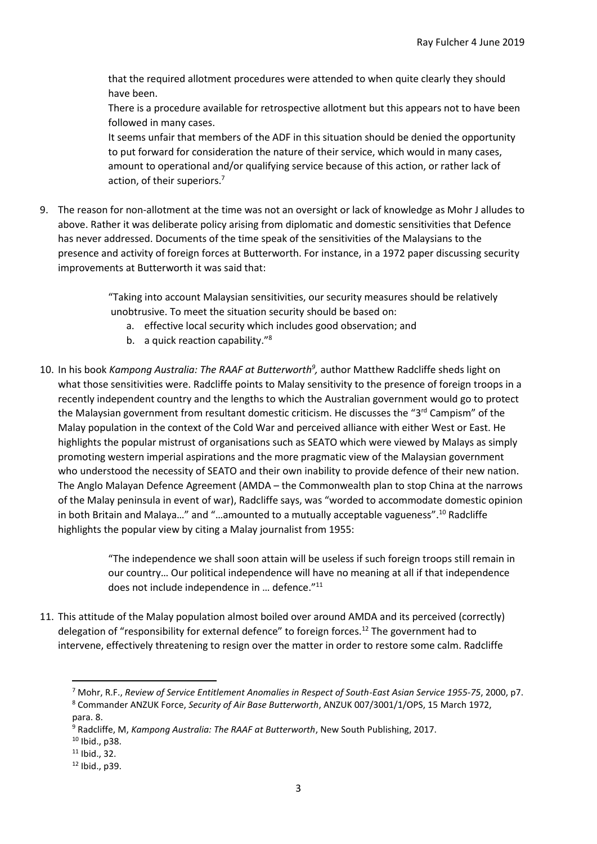that the required allotment procedures were attended to when quite clearly they should have been.

There is a procedure available for retrospective allotment but this appears not to have been followed in many cases.

It seems unfair that members of the ADF in this situation should be denied the opportunity to put forward for consideration the nature of their service, which would in many cases, amount to operational and/or qualifying service because of this action, or rather lack of action, of their superiors.<sup>7</sup>

9. The reason for non-allotment at the time was not an oversight or lack of knowledge as Mohr J alludes to above. Rather it was deliberate policy arising from diplomatic and domestic sensitivities that Defence has never addressed. Documents of the time speak of the sensitivities of the Malaysians to the presence and activity of foreign forces at Butterworth. For instance, in a 1972 paper discussing security improvements at Butterworth it was said that:

> "Taking into account Malaysian sensitivities, our security measures should be relatively unobtrusive. To meet the situation security should be based on:

- a. effective local security which includes good observation; and
- b. a quick reaction capability."<sup>8</sup>
- 10. In his book *Kampong Australia: The RAAF at Butterworth<sup>9</sup>,* author Matthew Radcliffe sheds light on what those sensitivities were. Radcliffe points to Malay sensitivity to the presence of foreign troops in a recently independent country and the lengths to which the Australian government would go to protect the Malaysian government from resultant domestic criticism. He discusses the "3<sup>rd</sup> Campism" of the Malay population in the context of the Cold War and perceived alliance with either West or East. He highlights the popular mistrust of organisations such as SEATO which were viewed by Malays as simply promoting western imperial aspirations and the more pragmatic view of the Malaysian government who understood the necessity of SEATO and their own inability to provide defence of their new nation. The Anglo Malayan Defence Agreement (AMDA – the Commonwealth plan to stop China at the narrows of the Malay peninsula in event of war), Radcliffe says, was "worded to accommodate domestic opinion in both Britain and Malaya..." and "...amounted to a mutually acceptable vagueness".<sup>10</sup> Radcliffe highlights the popular view by citing a Malay journalist from 1955:

"The independence we shall soon attain will be useless if such foreign troops still remain in our country… Our political independence will have no meaning at all if that independence does not include independence in … defence."<sup>11</sup>

11. This attitude of the Malay population almost boiled over around AMDA and its perceived (correctly) delegation of "responsibility for external defence" to foreign forces.<sup>12</sup> The government had to intervene, effectively threatening to resign over the matter in order to restore some calm. Radcliffe

<sup>7</sup> Mohr, R.F., *Review of Service Entitlement Anomalies in Respect of South-East Asian Service 1955-75*, 2000, p7. <sup>8</sup> Commander ANZUK Force, *Security of Air Base Butterworth*, ANZUK 007/3001/1/OPS, 15 March 1972, para. 8.

<sup>9</sup> Radcliffe, M, *Kampong Australia: The RAAF at Butterworth*, New South Publishing, 2017.

<sup>10</sup> Ibid., p38.

 $11$  Ibid., 32.

<sup>12</sup> Ibid., p39.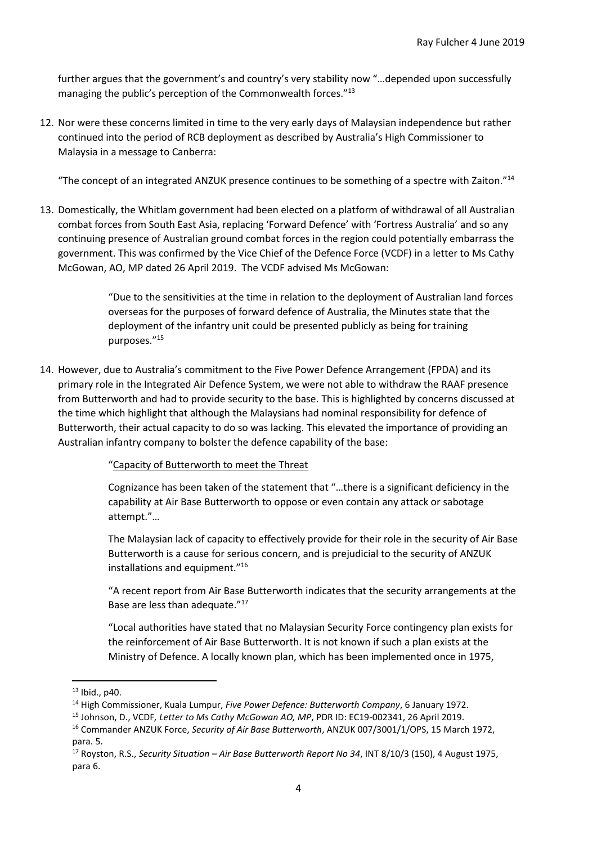further argues that the government's and country's very stability now "…depended upon successfully managing the public's perception of the Commonwealth forces."<sup>13</sup>

12. Nor were these concerns limited in time to the very early days of Malaysian independence but rather continued into the period of RCB deployment as described by Australia's High Commissioner to Malaysia in a message to Canberra:

"The concept of an integrated ANZUK presence continues to be something of a spectre with Zaiton."<sup>14</sup>

13. Domestically, the Whitlam government had been elected on a platform of withdrawal of all Australian combat forces from South East Asia, replacing 'Forward Defence' with 'Fortress Australia' and so any continuing presence of Australian ground combat forces in the region could potentially embarrass the government. This was confirmed by the Vice Chief of the Defence Force (VCDF) in a letter to Ms Cathy McGowan, AO, MP dated 26 April 2019. The VCDF advised Ms McGowan:

> "Due to the sensitivities at the time in relation to the deployment of Australian land forces overseas for the purposes of forward defence of Australia, the Minutes state that the deployment of the infantry unit could be presented publicly as being for training purposes."<sup>15</sup>

14. However, due to Australia's commitment to the Five Power Defence Arrangement (FPDA) and its primary role in the Integrated Air Defence System, we were not able to withdraw the RAAF presence from Butterworth and had to provide security to the base. This is highlighted by concerns discussed at the time which highlight that although the Malaysians had nominal responsibility for defence of Butterworth, their actual capacity to do so was lacking. This elevated the importance of providing an Australian infantry company to bolster the defence capability of the base:

"Capacity of Butterworth to meet the Threat

Cognizance has been taken of the statement that "…there is a significant deficiency in the capability at Air Base Butterworth to oppose or even contain any attack or sabotage attempt."…

The Malaysian lack of capacity to effectively provide for their role in the security of Air Base Butterworth is a cause for serious concern, and is prejudicial to the security of ANZUK installations and equipment."<sup>16</sup>

"A recent report from Air Base Butterworth indicates that the security arrangements at the Base are less than adequate."<sup>17</sup>

"Local authorities have stated that no Malaysian Security Force contingency plan exists for the reinforcement of Air Base Butterworth. It is not known if such a plan exists at the Ministry of Defence. A locally known plan, which has been implemented once in 1975,

 $13$  Ibid., p40.

<sup>14</sup> High Commissioner, Kuala Lumpur, *Five Power Defence: Butterworth Company*, 6 January 1972.

<sup>15</sup> Johnson, D., VCDF*, Letter to Ms Cathy McGowan AO, MP*, PDR ID: EC19-002341, 26 April 2019.

<sup>16</sup> Commander ANZUK Force, *Security of Air Base Butterworth*, ANZUK 007/3001/1/OPS, 15 March 1972, para. 5.

<sup>17</sup> Royston, R.S., *Security Situation – Air Base Butterworth Report No 34*, INT 8/10/3 (150), 4 August 1975, para 6.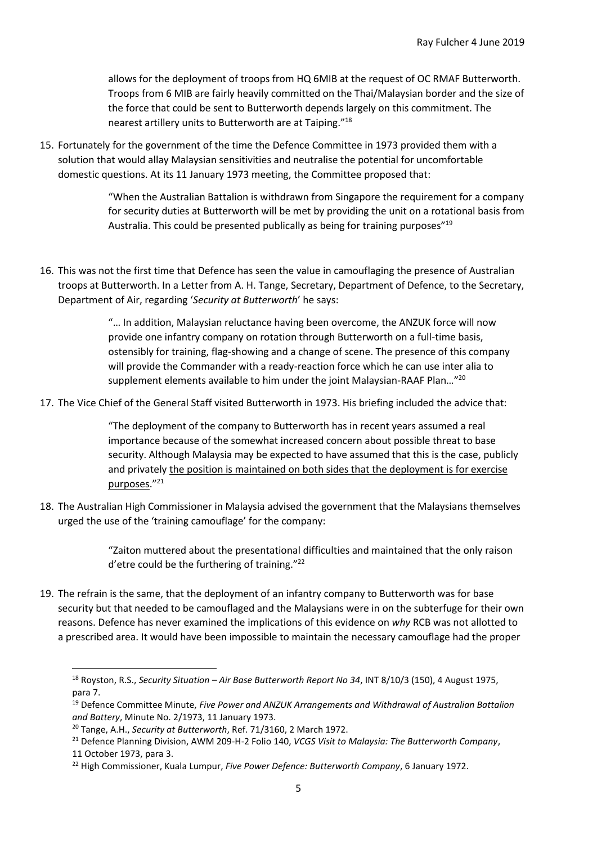allows for the deployment of troops from HQ 6MIB at the request of OC RMAF Butterworth. Troops from 6 MIB are fairly heavily committed on the Thai/Malaysian border and the size of the force that could be sent to Butterworth depends largely on this commitment. The nearest artillery units to Butterworth are at Taiping."<sup>18</sup>

15. Fortunately for the government of the time the Defence Committee in 1973 provided them with a solution that would allay Malaysian sensitivities and neutralise the potential for uncomfortable domestic questions. At its 11 January 1973 meeting, the Committee proposed that:

> "When the Australian Battalion is withdrawn from Singapore the requirement for a company for security duties at Butterworth will be met by providing the unit on a rotational basis from Australia. This could be presented publically as being for training purposes"<sup>19</sup>

16. This was not the first time that Defence has seen the value in camouflaging the presence of Australian troops at Butterworth. In a Letter from A. H. Tange, Secretary, Department of Defence, to the Secretary, Department of Air, regarding '*Security at Butterworth*' he says:

> "… In addition, Malaysian reluctance having been overcome, the ANZUK force will now provide one infantry company on rotation through Butterworth on a full-time basis, ostensibly for training, flag-showing and a change of scene. The presence of this company will provide the Commander with a ready-reaction force which he can use inter alia to supplement elements available to him under the joint Malaysian-RAAF Plan..."<sup>20</sup>

17. The Vice Chief of the General Staff visited Butterworth in 1973. His briefing included the advice that:

"The deployment of the company to Butterworth has in recent years assumed a real importance because of the somewhat increased concern about possible threat to base security. Although Malaysia may be expected to have assumed that this is the case, publicly and privately the position is maintained on both sides that the deployment is for exercise purposes."<sup>21</sup>

18. The Australian High Commissioner in Malaysia advised the government that the Malaysians themselves urged the use of the 'training camouflage' for the company:

> "Zaiton muttered about the presentational difficulties and maintained that the only raison d'etre could be the furthering of training."<sup>22</sup>

19. The refrain is the same, that the deployment of an infantry company to Butterworth was for base security but that needed to be camouflaged and the Malaysians were in on the subterfuge for their own reasons. Defence has never examined the implications of this evidence on *why* RCB was not allotted to a prescribed area. It would have been impossible to maintain the necessary camouflage had the proper

<sup>18</sup> Royston, R.S., *Security Situation – Air Base Butterworth Report No 34*, INT 8/10/3 (150), 4 August 1975, para 7.

<sup>19</sup> Defence Committee Minute, *Five Power and ANZUK Arrangements and Withdrawal of Australian Battalion and Battery*, Minute No. 2/1973, 11 January 1973.

<sup>20</sup> Tange, A.H., *Security at Butterworth*, Ref. 71/3160, 2 March 1972.

<sup>21</sup> Defence Planning Division, AWM 209-H-2 Folio 140, *VCGS Visit to Malaysia: The Butterworth Company*, 11 October 1973, para 3.

<sup>22</sup> High Commissioner, Kuala Lumpur, *Five Power Defence: Butterworth Company*, 6 January 1972.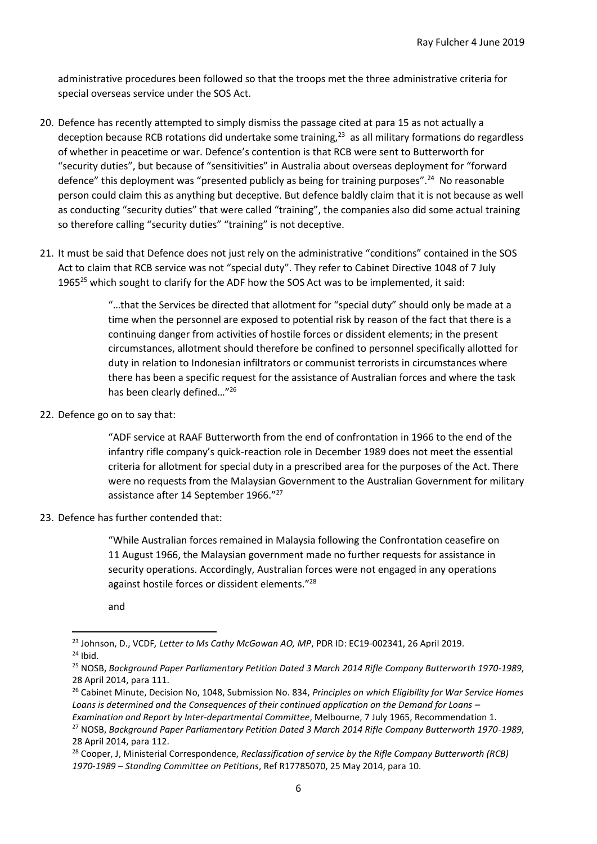administrative procedures been followed so that the troops met the three administrative criteria for special overseas service under the SOS Act.

- 20. Defence has recently attempted to simply dismiss the passage cited at para 15 as not actually a deception because RCB rotations did undertake some training,<sup>23</sup> as all military formations do regardless of whether in peacetime or war. Defence's contention is that RCB were sent to Butterworth for "security duties", but because of "sensitivities" in Australia about overseas deployment for "forward defence" this deployment was "presented publicly as being for training purposes".<sup>24</sup> No reasonable person could claim this as anything but deceptive. But defence baldly claim that it is not because as well as conducting "security duties" that were called "training", the companies also did some actual training so therefore calling "security duties" "training" is not deceptive.
- 21. It must be said that Defence does not just rely on the administrative "conditions" contained in the SOS Act to claim that RCB service was not "special duty". They refer to Cabinet Directive 1048 of 7 July 1965<sup>25</sup> which sought to clarify for the ADF how the SOS Act was to be implemented, it said:

"…that the Services be directed that allotment for "special duty" should only be made at a time when the personnel are exposed to potential risk by reason of the fact that there is a continuing danger from activities of hostile forces or dissident elements; in the present circumstances, allotment should therefore be confined to personnel specifically allotted for duty in relation to Indonesian infiltrators or communist terrorists in circumstances where there has been a specific request for the assistance of Australian forces and where the task has been clearly defined…"<sup>26</sup>

22. Defence go on to say that:

"ADF service at RAAF Butterworth from the end of confrontation in 1966 to the end of the infantry rifle company's quick-reaction role in December 1989 does not meet the essential criteria for allotment for special duty in a prescribed area for the purposes of the Act. There were no requests from the Malaysian Government to the Australian Government for military assistance after 14 September 1966."<sup>27</sup>

23. Defence has further contended that:

"While Australian forces remained in Malaysia following the Confrontation ceasefire on 11 August 1966, the Malaysian government made no further requests for assistance in security operations. Accordingly, Australian forces were not engaged in any operations against hostile forces or dissident elements."<sup>28</sup>

and

<sup>28</sup> Cooper, J, Ministerial Correspondence, *Reclassification of service by the Rifle Company Butterworth (RCB) 1970-1989 – Standing Committee on Petitions*, Ref R17785070, 25 May 2014, para 10.

<sup>23</sup> Johnson, D., VCDF*, Letter to Ms Cathy McGowan AO, MP*, PDR ID: EC19-002341, 26 April 2019.  $24$  Ibid.

<sup>25</sup> NOSB, *Background Paper Parliamentary Petition Dated 3 March 2014 Rifle Company Butterworth 1970-1989*, 28 April 2014, para 111.

<sup>26</sup> Cabinet Minute, Decision No, 1048, Submission No. 834, *Principles on which Eligibility for War Service Homes Loans is determined and the Consequences of their continued application on the Demand for Loans –*

*Examination and Report by Inter-departmental Committee*, Melbourne, 7 July 1965, Recommendation 1.

<sup>27</sup> NOSB, *Background Paper Parliamentary Petition Dated 3 March 2014 Rifle Company Butterworth 1970-1989*, 28 April 2014, para 112.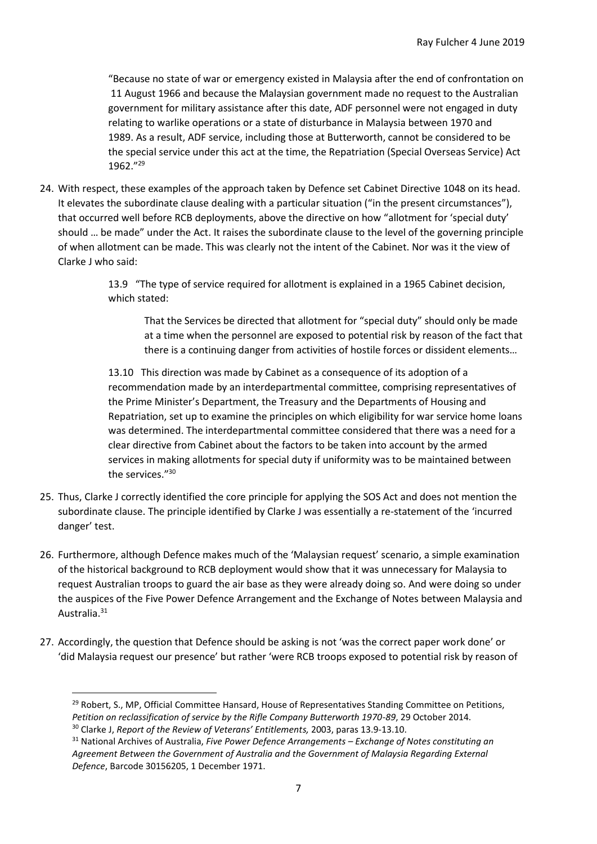"Because no state of war or emergency existed in Malaysia after the end of confrontation on 11 August 1966 and because the Malaysian government made no request to the Australian government for military assistance after this date, ADF personnel were not engaged in duty relating to warlike operations or a state of disturbance in Malaysia between 1970 and 1989. As a result, ADF service, including those at Butterworth, cannot be considered to be the special service under this act at the time, the Repatriation (Special Overseas Service) Act 1962." 29

24. With respect, these examples of the approach taken by Defence set Cabinet Directive 1048 on its head. It elevates the subordinate clause dealing with a particular situation ("in the present circumstances"), that occurred well before RCB deployments, above the directive on how "allotment for 'special duty' should … be made" under the Act. It raises the subordinate clause to the level of the governing principle of when allotment can be made. This was clearly not the intent of the Cabinet. Nor was it the view of Clarke J who said:

> 13.9 "The type of service required for allotment is explained in a 1965 Cabinet decision, which stated:

That the Services be directed that allotment for "special duty" should only be made at a time when the personnel are exposed to potential risk by reason of the fact that there is a continuing danger from activities of hostile forces or dissident elements…

13.10 This direction was made by Cabinet as a consequence of its adoption of a recommendation made by an interdepartmental committee, comprising representatives of the Prime Minister's Department, the Treasury and the Departments of Housing and Repatriation, set up to examine the principles on which eligibility for war service home loans was determined. The interdepartmental committee considered that there was a need for a clear directive from Cabinet about the factors to be taken into account by the armed services in making allotments for special duty if uniformity was to be maintained between the services."<sup>30</sup>

- 25. Thus, Clarke J correctly identified the core principle for applying the SOS Act and does not mention the subordinate clause. The principle identified by Clarke J was essentially a re-statement of the 'incurred danger' test.
- 26. Furthermore, although Defence makes much of the 'Malaysian request' scenario, a simple examination of the historical background to RCB deployment would show that it was unnecessary for Malaysia to request Australian troops to guard the air base as they were already doing so. And were doing so under the auspices of the Five Power Defence Arrangement and the Exchange of Notes between Malaysia and Australia.<sup>31</sup>
- 27. Accordingly, the question that Defence should be asking is not 'was the correct paper work done' or 'did Malaysia request our presence' but rather 'were RCB troops exposed to potential risk by reason of

<sup>&</sup>lt;sup>29</sup> Robert, S., MP, Official Committee Hansard, House of Representatives Standing Committee on Petitions, *Petition on reclassification of service by the Rifle Company Butterworth 1970-89*, 29 October 2014.

<sup>30</sup> Clarke J, *Report of the Review of Veterans' Entitlements,* 2003, paras 13.9-13.10.

<sup>31</sup> National Archives of Australia, *Five Power Defence Arrangements – Exchange of Notes constituting an Agreement Between the Government of Australia and the Government of Malaysia Regarding External Defence*, Barcode 30156205, 1 December 1971.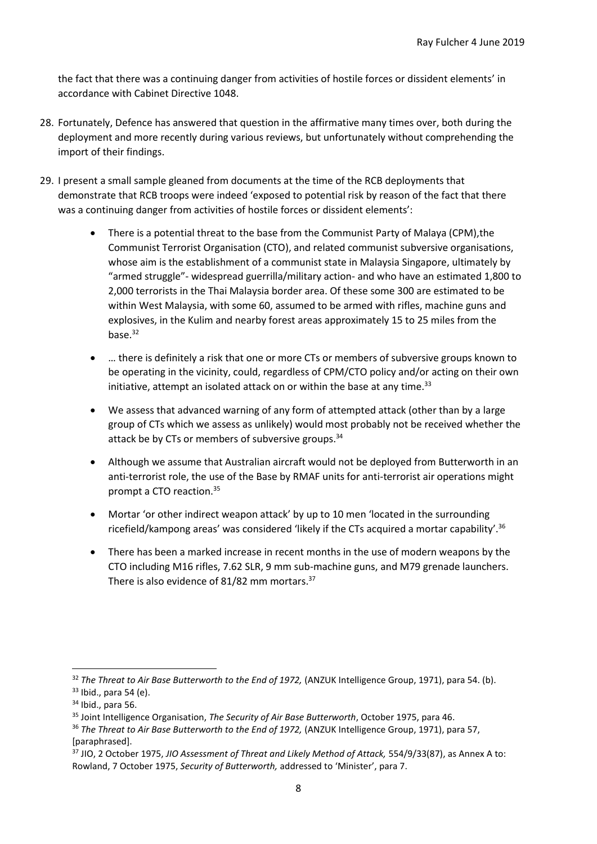the fact that there was a continuing danger from activities of hostile forces or dissident elements' in accordance with Cabinet Directive 1048.

- 28. Fortunately, Defence has answered that question in the affirmative many times over, both during the deployment and more recently during various reviews, but unfortunately without comprehending the import of their findings.
- 29. I present a small sample gleaned from documents at the time of the RCB deployments that demonstrate that RCB troops were indeed 'exposed to potential risk by reason of the fact that there was a continuing danger from activities of hostile forces or dissident elements':
	- There is a potential threat to the base from the Communist Party of Malaya (CPM),the Communist Terrorist Organisation (CTO), and related communist subversive organisations, whose aim is the establishment of a communist state in Malaysia Singapore, ultimately by "armed struggle"- widespread guerrilla/military action- and who have an estimated 1,800 to 2,000 terrorists in the Thai Malaysia border area. Of these some 300 are estimated to be within West Malaysia, with some 60, assumed to be armed with rifles, machine guns and explosives, in the Kulim and nearby forest areas approximately 15 to 25 miles from the base. $32$
	- … there is definitely a risk that one or more CTs or members of subversive groups known to be operating in the vicinity, could, regardless of CPM/CTO policy and/or acting on their own initiative, attempt an isolated attack on or within the base at any time. $33$
	- We assess that advanced warning of any form of attempted attack (other than by a large group of CTs which we assess as unlikely) would most probably not be received whether the attack be by CTs or members of subversive groups.<sup>34</sup>
	- Although we assume that Australian aircraft would not be deployed from Butterworth in an anti-terrorist role, the use of the Base by RMAF units for anti-terrorist air operations might prompt a CTO reaction.<sup>35</sup>
	- Mortar 'or other indirect weapon attack' by up to 10 men 'located in the surrounding ricefield/kampong areas' was considered 'likely if the CTs acquired a mortar capability'.<sup>36</sup>
	- There has been a marked increase in recent months in the use of modern weapons by the CTO including M16 rifles, 7.62 SLR, 9 mm sub-machine guns, and M79 grenade launchers. There is also evidence of 81/82 mm mortars.<sup>37</sup>

<sup>32</sup> *The Threat to Air Base Butterworth to the End of 1972,* (ANZUK Intelligence Group, 1971), para 54. (b).  $33$  Ibid., para 54 (e).

<sup>34</sup> Ibid., para 56.

<sup>35</sup> Joint Intelligence Organisation, *The Security of Air Base Butterworth*, October 1975, para 46.

<sup>36</sup> *The Threat to Air Base Butterworth to the End of 1972,* (ANZUK Intelligence Group, 1971), para 57, [paraphrased].

<sup>37</sup> JIO, 2 October 1975, *JIO Assessment of Threat and Likely Method of Attack,* 554/9/33(87), as Annex A to: Rowland, 7 October 1975, *Security of Butterworth,* addressed to 'Minister', para 7.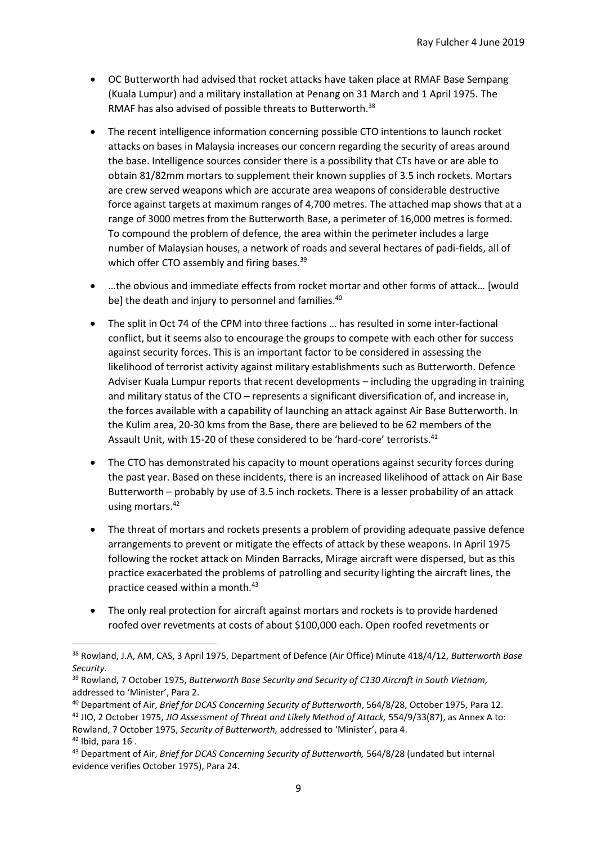- OC Butterworth had advised that rocket attacks have taken place at RMAF Base Sempang (Kuala Lumpur) and a military installation at Penang on 31 March and 1 April 1975. The RMAF has also advised of possible threats to Butterworth.<sup>38</sup>
- The recent intelligence information concerning possible CTO intentions to launch rocket attacks on bases in Malaysia increases our concern regarding the security of areas around the base. Intelligence sources consider there is a possibility that CTs have or are able to obtain 81/82mm mortars to supplement their known supplies of 3.5 inch rockets. Mortars are crew served weapons which are accurate area weapons of considerable destructive force against targets at maximum ranges of 4,700 metres. The attached map shows that at a range of 3000 metres from the Butterworth Base, a perimeter of 16,000 metres is formed. To compound the problem of defence, the area within the perimeter includes a large number of Malaysian houses, a network of roads and several hectares of padi-fields, all of which offer CTO assembly and firing bases.<sup>39</sup>
- …the obvious and immediate effects from rocket mortar and other forms of attack… [would be] the death and injury to personnel and families.<sup>40</sup>
- The split in Oct 74 of the CPM into three factions ... has resulted in some inter-factional conflict, but it seems also to encourage the groups to compete with each other for success against security forces. This is an important factor to be considered in assessing the likelihood of terrorist activity against military establishments such as Butterworth. Defence Adviser Kuala Lumpur reports that recent developments – including the upgrading in training and military status of the CTO – represents a significant diversification of, and increase in, the forces available with a capability of launching an attack against Air Base Butterworth. In the Kulim area, 20-30 kms from the Base, there are believed to be 62 members of the Assault Unit, with 15-20 of these considered to be 'hard-core' terrorists.<sup>41</sup>
- The CTO has demonstrated his capacity to mount operations against security forces during the past year. Based on these incidents, there is an increased likelihood of attack on Air Base Butterworth – probably by use of 3.5 inch rockets. There is a lesser probability of an attack using mortars.<sup>42</sup>
- The threat of mortars and rockets presents a problem of providing adequate passive defence arrangements to prevent or mitigate the effects of attack by these weapons. In April 1975 following the rocket attack on Minden Barracks, Mirage aircraft were dispersed, but as this practice exacerbated the problems of patrolling and security lighting the aircraft lines, the practice ceased within a month.<sup>43</sup>
- The only real protection for aircraft against mortars and rockets is to provide hardened roofed over revetments at costs of about \$100,000 each. Open roofed revetments or

<sup>38</sup> Rowland, J.A, AM, CAS, 3 April 1975, Department of Defence (Air Office) Minute 418/4/12, *Butterworth Base Security.*

<sup>39</sup> Rowland, 7 October 1975, *Butterworth Base Security and Security of C130 Aircraft in South Vietnam,* addressed to 'Minister', Para 2.

<sup>40</sup> Department of Air, *Brief for DCAS Concerning Security of Butterworth*, 564/8/28, October 1975, Para 12.

<sup>41</sup> JIO, 2 October 1975, *JIO Assessment of Threat and Likely Method of Attack,* 554/9/33(87), as Annex A to: Rowland, 7 October 1975, *Security of Butterworth,* addressed to 'Minister', para 4.

<sup>42</sup> Ibid, para 16 .

<sup>43</sup> Department of Air, *Brief for DCAS Concerning Security of Butterworth,* 564/8/28 (undated but internal evidence verifies October 1975), Para 24.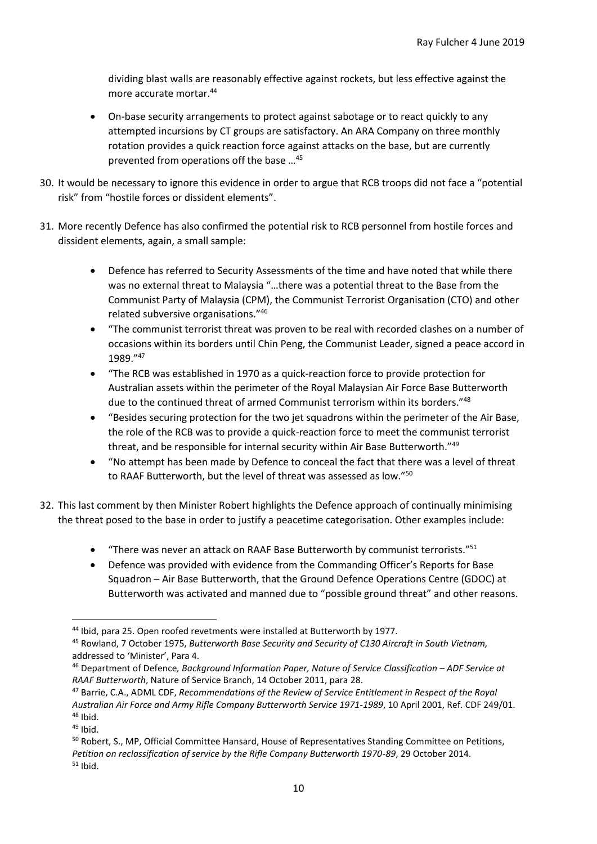dividing blast walls are reasonably effective against rockets, but less effective against the more accurate mortar.<sup>44</sup>

- On-base security arrangements to protect against sabotage or to react quickly to any attempted incursions by CT groups are satisfactory. An ARA Company on three monthly rotation provides a quick reaction force against attacks on the base, but are currently prevented from operations off the base …<sup>45</sup>
- 30. It would be necessary to ignore this evidence in order to argue that RCB troops did not face a "potential risk" from "hostile forces or dissident elements".
- 31. More recently Defence has also confirmed the potential risk to RCB personnel from hostile forces and dissident elements, again, a small sample:
	- Defence has referred to Security Assessments of the time and have noted that while there was no external threat to Malaysia "…there was a potential threat to the Base from the Communist Party of Malaysia (CPM), the Communist Terrorist Organisation (CTO) and other related subversive organisations."<sup>46</sup>
	- "The communist terrorist threat was proven to be real with recorded clashes on a number of occasions within its borders until Chin Peng, the Communist Leader, signed a peace accord in 1989."<sup>47</sup>
	- "The RCB was established in 1970 as a quick-reaction force to provide protection for Australian assets within the perimeter of the Royal Malaysian Air Force Base Butterworth due to the continued threat of armed Communist terrorism within its borders."<sup>48</sup>
	- "Besides securing protection for the two jet squadrons within the perimeter of the Air Base, the role of the RCB was to provide a quick-reaction force to meet the communist terrorist threat, and be responsible for internal security within Air Base Butterworth."<sup>49</sup>
	- "No attempt has been made by Defence to conceal the fact that there was a level of threat to RAAF Butterworth, but the level of threat was assessed as low."<sup>50</sup>
- 32. This last comment by then Minister Robert highlights the Defence approach of continually minimising the threat posed to the base in order to justify a peacetime categorisation. Other examples include:
	- "There was never an attack on RAAF Base Butterworth by communist terrorists."<sup>51</sup>
	- Defence was provided with evidence from the Commanding Officer's Reports for Base Squadron – Air Base Butterworth, that the Ground Defence Operations Centre (GDOC) at Butterworth was activated and manned due to "possible ground threat" and other reasons.

<sup>44</sup> Ibid, para 25. Open roofed revetments were installed at Butterworth by 1977.

<sup>45</sup> Rowland, 7 October 1975, *Butterworth Base Security and Security of C130 Aircraft in South Vietnam,* addressed to 'Minister', Para 4.

<sup>46</sup> Department of Defence*, Background Information Paper, Nature of Service Classification – ADF Service at RAAF Butterworth*, Nature of Service Branch, 14 October 2011, para 28.

<sup>47</sup> Barrie, C.A., ADML CDF, *Recommendations of the Review of Service Entitlement in Respect of the Royal Australian Air Force and Army Rifle Company Butterworth Service 1971-1989*, 10 April 2001, Ref. CDF 249/01.  $48$  Ibid.

 $49$  Ibid.

<sup>50</sup> Robert, S., MP, Official Committee Hansard, House of Representatives Standing Committee on Petitions, *Petition on reclassification of service by the Rifle Company Butterworth 1970-89*, 29 October 2014.  $51$  Ibid.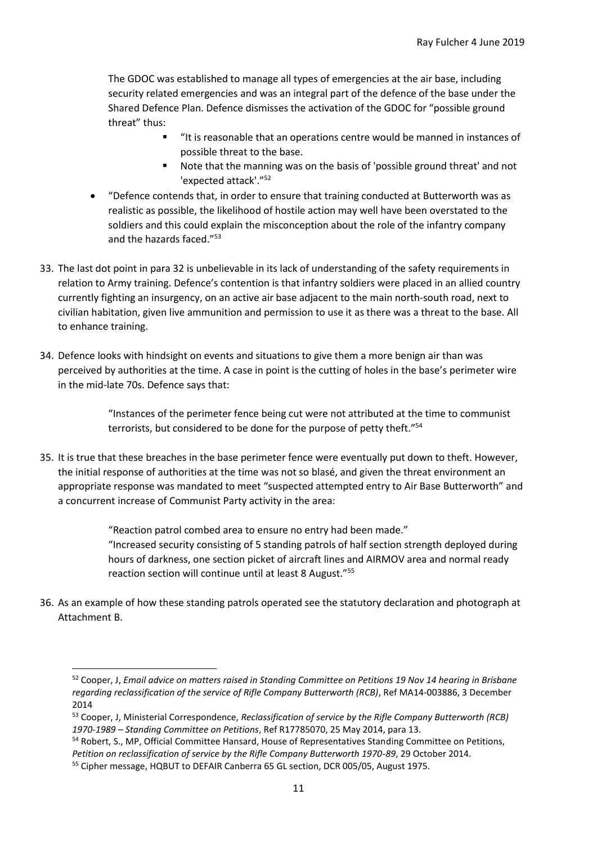The GDOC was established to manage all types of emergencies at the air base, including security related emergencies and was an integral part of the defence of the base under the Shared Defence Plan. Defence dismisses the activation of the GDOC for "possible ground threat" thus:

- "It is reasonable that an operations centre would be manned in instances of possible threat to the base.
- Note that the manning was on the basis of 'possible ground threat' and not 'expected attack'."<sup>52</sup>
- "Defence contends that, in order to ensure that training conducted at Butterworth was as realistic as possible, the likelihood of hostile action may well have been overstated to the soldiers and this could explain the misconception about the role of the infantry company and the hazards faced."<sup>53</sup>
- 33. The last dot point in para 32 is unbelievable in its lack of understanding of the safety requirements in relation to Army training. Defence's contention is that infantry soldiers were placed in an allied country currently fighting an insurgency, on an active air base adjacent to the main north-south road, next to civilian habitation, given live ammunition and permission to use it as there was a threat to the base. All to enhance training.
- 34. Defence looks with hindsight on events and situations to give them a more benign air than was perceived by authorities at the time. A case in point is the cutting of holes in the base's perimeter wire in the mid-late 70s. Defence says that:

"Instances of the perimeter fence being cut were not attributed at the time to communist terrorists, but considered to be done for the purpose of petty theft."<sup>54</sup>

35. It is true that these breaches in the base perimeter fence were eventually put down to theft. However, the initial response of authorities at the time was not so blasé, and given the threat environment an appropriate response was mandated to meet "suspected attempted entry to Air Base Butterworth" and a concurrent increase of Communist Party activity in the area:

> "Reaction patrol combed area to ensure no entry had been made." "Increased security consisting of 5 standing patrols of half section strength deployed during hours of darkness, one section picket of aircraft lines and AIRMOV area and normal ready reaction section will continue until at least 8 August."<sup>55</sup>

36. As an example of how these standing patrols operated see the statutory declaration and photograph at Attachment B.

<sup>52</sup> Cooper, J, *Email advice on matters raised in Standing Committee on Petitions 19 Nov 14 hearing in Brisbane regarding reclassification of the service of Rifle Company Butterworth (RCB)*, Ref MA14-003886, 3 December 2014

<sup>53</sup> Cooper, J, Ministerial Correspondence, *Reclassification of service by the Rifle Company Butterworth (RCB) 1970-1989 – Standing Committee on Petitions*, Ref R17785070, 25 May 2014, para 13.

<sup>54</sup> Robert, S., MP, Official Committee Hansard, House of Representatives Standing Committee on Petitions, *Petition on reclassification of service by the Rifle Company Butterworth 1970-89*, 29 October 2014.

<sup>55</sup> Cipher message, HQBUT to DEFAIR Canberra 65 GL section, DCR 005/05, August 1975.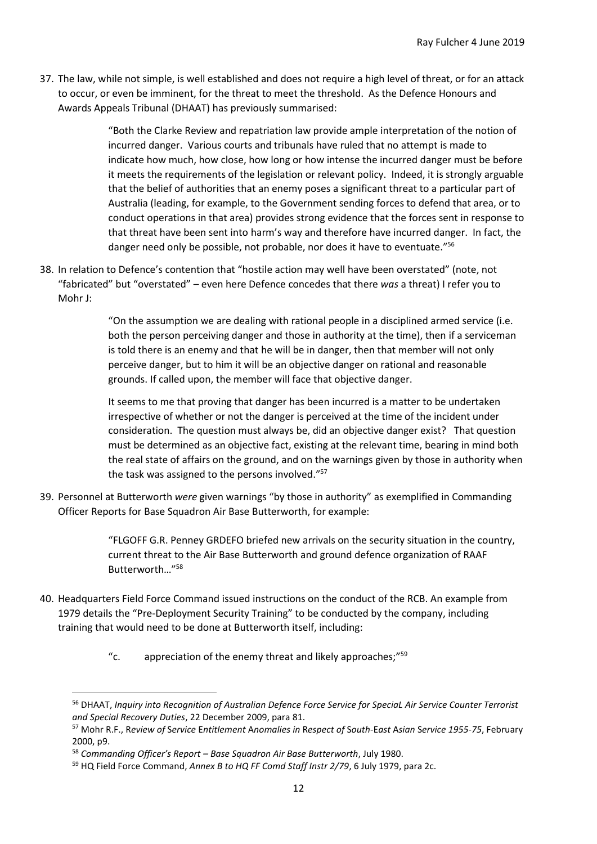37. The law, while not simple, is well established and does not require a high level of threat, or for an attack to occur, or even be imminent, for the threat to meet the threshold. As the Defence Honours and Awards Appeals Tribunal (DHAAT) has previously summarised:

> "Both the Clarke Review and repatriation law provide ample interpretation of the notion of incurred danger. Various courts and tribunals have ruled that no attempt is made to indicate how much, how close, how long or how intense the incurred danger must be before it meets the requirements of the legislation or relevant policy. Indeed, it is strongly arguable that the belief of authorities that an enemy poses a significant threat to a particular part of Australia (leading, for example, to the Government sending forces to defend that area, or to conduct operations in that area) provides strong evidence that the forces sent in response to that threat have been sent into harm's way and therefore have incurred danger. In fact, the danger need only be possible, not probable, nor does it have to eventuate."<sup>56</sup>

38. In relation to Defence's contention that "hostile action may well have been overstated" (note, not "fabricated" but "overstated" – even here Defence concedes that there *was* a threat) I refer you to Mohr J:

> "On the assumption we are dealing with rational people in a disciplined armed service (i.e. both the person perceiving danger and those in authority at the time), then if a serviceman is told there is an enemy and that he will be in danger, then that member will not only perceive danger, but to him it will be an objective danger on rational and reasonable grounds. If called upon, the member will face that objective danger.

It seems to me that proving that danger has been incurred is a matter to be undertaken irrespective of whether or not the danger is perceived at the time of the incident under consideration. The question must always be, did an objective danger exist? That question must be determined as an objective fact, existing at the relevant time, bearing in mind both the real state of affairs on the ground, and on the warnings given by those in authority when the task was assigned to the persons involved."<sup>57</sup>

39. Personnel at Butterworth *were* given warnings "by those in authority" as exemplified in Commanding Officer Reports for Base Squadron Air Base Butterworth, for example:

> "FLGOFF G.R. Penney GRDEFO briefed new arrivals on the security situation in the country, current threat to the Air Base Butterworth and ground defence organization of RAAF Butterworth…"<sup>58</sup>

- 40. Headquarters Field Force Command issued instructions on the conduct of the RCB. An example from 1979 details the "Pre-Deployment Security Training" to be conducted by the company, including training that would need to be done at Butterworth itself, including:
	- " $c.$  appreciation of the enemy threat and likely approaches;" $59$

<sup>56</sup> DHAAT, *Inquiry into Recognition of Australian Defence Force Service for SpeciaL Air Service Counter Terrorist and Special Recovery Duties*, 22 December 2009, para 81.

<sup>57</sup> Mohr R.F., R*eview of* S*ervice* E*ntitlement* A*nomalies in* R*espect of* S*outh*-E*ast* A*sian* S*ervice 1955-75*, February 2000, p9.

<sup>58</sup> *Commanding Officer's Report – Base Squadron Air Base Butterworth*, July 1980.

<sup>59</sup> HQ Field Force Command, *Annex B to HQ FF Comd Staff Instr 2/79*, 6 July 1979, para 2c.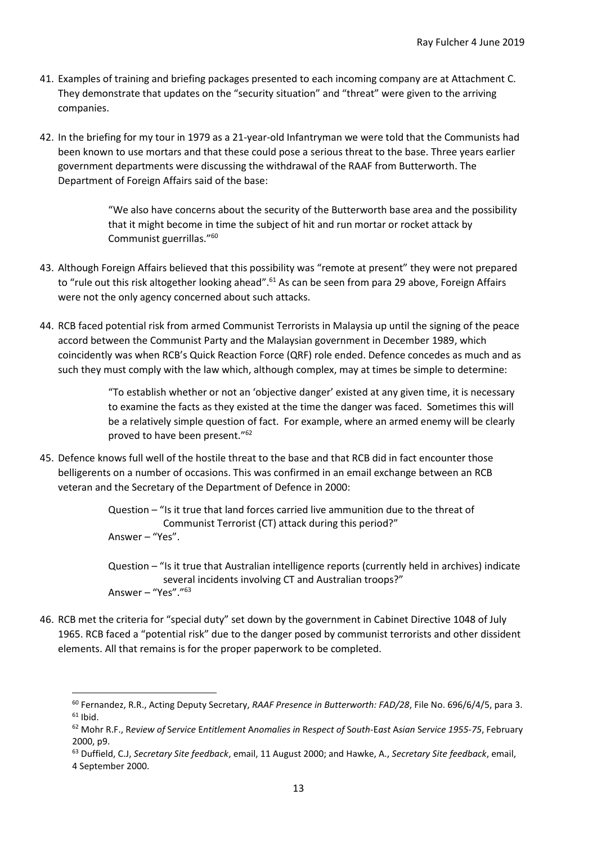- 41. Examples of training and briefing packages presented to each incoming company are at Attachment C. They demonstrate that updates on the "security situation" and "threat" were given to the arriving companies.
- 42. In the briefing for my tour in 1979 as a 21-year-old Infantryman we were told that the Communists had been known to use mortars and that these could pose a serious threat to the base. Three years earlier government departments were discussing the withdrawal of the RAAF from Butterworth. The Department of Foreign Affairs said of the base:

"We also have concerns about the security of the Butterworth base area and the possibility that it might become in time the subject of hit and run mortar or rocket attack by Communist guerrillas."<sup>60</sup>

- 43. Although Foreign Affairs believed that this possibility was "remote at present" they were not prepared to "rule out this risk altogether looking ahead".<sup>61</sup> As can be seen from para 29 above, Foreign Affairs were not the only agency concerned about such attacks.
- 44. RCB faced potential risk from armed Communist Terrorists in Malaysia up until the signing of the peace accord between the Communist Party and the Malaysian government in December 1989, which coincidently was when RCB's Quick Reaction Force (QRF) role ended. Defence concedes as much and as such they must comply with the law which, although complex, may at times be simple to determine:

"To establish whether or not an 'objective danger' existed at any given time, it is necessary to examine the facts as they existed at the time the danger was faced. Sometimes this will be a relatively simple question of fact. For example, where an armed enemy will be clearly proved to have been present."<sup>62</sup>

45. Defence knows full well of the hostile threat to the base and that RCB did in fact encounter those belligerents on a number of occasions. This was confirmed in an email exchange between an RCB veteran and the Secretary of the Department of Defence in 2000:

46. RCB met the criteria for "special duty" set down by the government in Cabinet Directive 1048 of July 1965. RCB faced a "potential risk" due to the danger posed by communist terrorists and other dissident elements. All that remains is for the proper paperwork to be completed.

Question – "Is it true that land forces carried live ammunition due to the threat of Communist Terrorist (CT) attack during this period?" Answer – "Yes".

Question – "Is it true that Australian intelligence reports (currently held in archives) indicate several incidents involving CT and Australian troops?" Answer – "Yes"."<sup>63</sup>

<sup>60</sup> Fernandez, R.R., Acting Deputy Secretary, *RAAF Presence in Butterworth: FAD/28*, File No. 696/6/4/5, para 3.  $61$  Ibid.

<sup>62</sup> Mohr R.F., R*eview of* S*ervice* E*ntitlement* A*nomalies in* R*espect of* S*outh*-E*ast* A*sian* S*ervice 1955-75*, February 2000, p9.

<sup>63</sup> Duffield, C.J, *Secretary Site feedback*, email, 11 August 2000; and Hawke, A., *Secretary Site feedback*, email, 4 September 2000.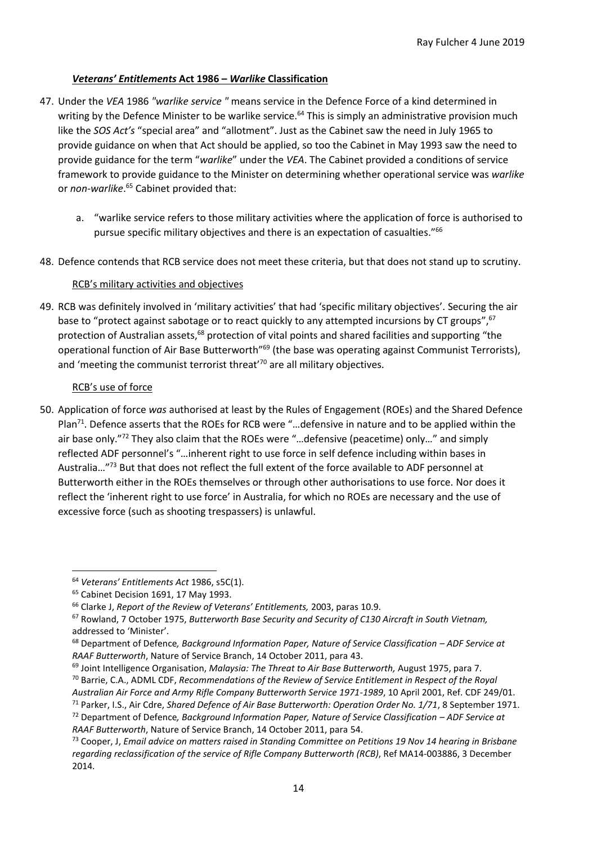# *Veterans' Entitlements* **Act 1986 –** *Warlike* **Classification**

- 47. Under the *VEA* 1986 *"warlike service "* means service in the Defence Force of a kind determined in writing by the Defence Minister to be warlike service.<sup>64</sup> This is simply an administrative provision much like the *SOS Act's* "special area" and "allotment". Just as the Cabinet saw the need in July 1965 to provide guidance on when that Act should be applied, so too the Cabinet in May 1993 saw the need to provide guidance for the term "*warlike*" under the *VEA*. The Cabinet provided a conditions of service framework to provide guidance to the Minister on determining whether operational service was *warlike* or *non-warlike*. <sup>65</sup> Cabinet provided that:
	- a. "warlike service refers to those military activities where the application of force is authorised to pursue specific military objectives and there is an expectation of casualties."<sup>66</sup>
- 48. Defence contends that RCB service does not meet these criteria, but that does not stand up to scrutiny.

## RCB's military activities and objectives

49. RCB was definitely involved in 'military activities' that had 'specific military objectives'. Securing the air base to "protect against sabotage or to react quickly to any attempted incursions by CT groups", <sup>67</sup> protection of Australian assets,<sup>68</sup> protection of vital points and shared facilities and supporting "the operational function of Air Base Butterworth"<sup>69</sup> (the base was operating against Communist Terrorists), and 'meeting the communist terrorist threat' $70$  are all military objectives.

### RCB's use of force

50. Application of force *was* authorised at least by the Rules of Engagement (ROEs) and the Shared Defence Plan<sup>71</sup>. Defence asserts that the ROEs for RCB were "...defensive in nature and to be applied within the air base only."<sup>72</sup> They also claim that the ROEs were "...defensive (peacetime) only..." and simply reflected ADF personnel's "…inherent right to use force in self defence including within bases in Australia…"<sup>73</sup> But that does not reflect the full extent of the force available to ADF personnel at Butterworth either in the ROEs themselves or through other authorisations to use force. Nor does it reflect the 'inherent right to use force' in Australia, for which no ROEs are necessary and the use of excessive force (such as shooting trespassers) is unlawful.

<sup>64</sup> *Veterans' Entitlements Act* 1986, s5C(1).

<sup>&</sup>lt;sup>65</sup> Cabinet Decision 1691, 17 May 1993.

<sup>66</sup> Clarke J, *Report of the Review of Veterans' Entitlements,* 2003, paras 10.9.

<sup>67</sup> Rowland, 7 October 1975, *Butterworth Base Security and Security of C130 Aircraft in South Vietnam,* addressed to 'Minister'.

<sup>68</sup> Department of Defence*, Background Information Paper, Nature of Service Classification – ADF Service at RAAF Butterworth*, Nature of Service Branch, 14 October 2011, para 43.

<sup>69</sup> Joint Intelligence Organisation, *Malaysia: The Threat to Air Base Butterworth,* August 1975, para 7. <sup>70</sup> Barrie, C.A., ADML CDF, *Recommendations of the Review of Service Entitlement in Respect of the Royal* 

*Australian Air Force and Army Rifle Company Butterworth Service 1971-1989*, 10 April 2001, Ref. CDF 249/01.

<sup>71</sup> Parker, I.S., Air Cdre, *Shared Defence of Air Base Butterworth: Operation Order No. 1/71*, 8 September 1971.

<sup>72</sup> Department of Defence*, Background Information Paper, Nature of Service Classification – ADF Service at RAAF Butterworth*, Nature of Service Branch, 14 October 2011, para 54.

<sup>73</sup> Cooper, J, *Email advice on matters raised in Standing Committee on Petitions 19 Nov 14 hearing in Brisbane regarding reclassification of the service of Rifle Company Butterworth (RCB)*, Ref MA14-003886, 3 December 2014.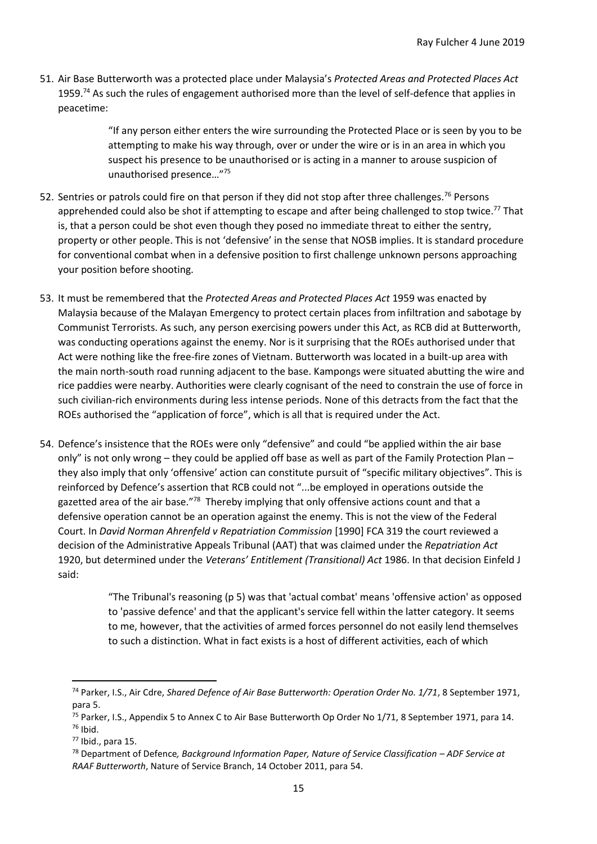51. Air Base Butterworth was a protected place under Malaysia's *Protected Areas and Protected Places Act* 1959.<sup>74</sup> As such the rules of engagement authorised more than the level of self-defence that applies in peacetime:

> "If any person either enters the wire surrounding the Protected Place or is seen by you to be attempting to make his way through, over or under the wire or is in an area in which you suspect his presence to be unauthorised or is acting in a manner to arouse suspicion of unauthorised presence…"<sup>75</sup>

- 52. Sentries or patrols could fire on that person if they did not stop after three challenges.<sup>76</sup> Persons apprehended could also be shot if attempting to escape and after being challenged to stop twice.<sup>77</sup> That is, that a person could be shot even though they posed no immediate threat to either the sentry, property or other people. This is not 'defensive' in the sense that NOSB implies. It is standard procedure for conventional combat when in a defensive position to first challenge unknown persons approaching your position before shooting.
- 53. It must be remembered that the *Protected Areas and Protected Places Act* 1959 was enacted by Malaysia because of the Malayan Emergency to protect certain places from infiltration and sabotage by Communist Terrorists. As such, any person exercising powers under this Act, as RCB did at Butterworth, was conducting operations against the enemy. Nor is it surprising that the ROEs authorised under that Act were nothing like the free-fire zones of Vietnam. Butterworth was located in a built-up area with the main north-south road running adjacent to the base. Kampongs were situated abutting the wire and rice paddies were nearby. Authorities were clearly cognisant of the need to constrain the use of force in such civilian-rich environments during less intense periods. None of this detracts from the fact that the ROEs authorised the "application of force", which is all that is required under the Act.
- 54. Defence's insistence that the ROEs were only "defensive" and could "be applied within the air base only" is not only wrong – they could be applied off base as well as part of the Family Protection Plan – they also imply that only 'offensive' action can constitute pursuit of "specific military objectives". This is reinforced by Defence's assertion that RCB could not "...be employed in operations outside the gazetted area of the air base."<sup>78</sup> Thereby implying that only offensive actions count and that a defensive operation cannot be an operation against the enemy. This is not the view of the Federal Court. In *David Norman Ahrenfeld v Repatriation Commission* [1990] FCA 319 the court reviewed a decision of the Administrative Appeals Tribunal (AAT) that was claimed under the *Repatriation Act* 1920, but determined under the *Veterans' Entitlement (Transitional) Act* 1986. In that decision Einfeld J said:

"The Tribunal's reasoning (p 5) was that 'actual combat' means 'offensive action' as opposed to 'passive defence' and that the applicant's service fell within the latter category. It seems to me, however, that the activities of armed forces personnel do not easily lend themselves to such a distinction. What in fact exists is a host of different activities, each of which

<sup>74</sup> Parker, I.S., Air Cdre, *Shared Defence of Air Base Butterworth: Operation Order No. 1/71*, 8 September 1971, para 5.

<sup>&</sup>lt;sup>75</sup> Parker, I.S., Appendix 5 to Annex C to Air Base Butterworth Op Order No 1/71, 8 September 1971, para 14.  $76$  Ibid.

<sup>77</sup> Ibid., para 15.

<sup>78</sup> Department of Defence*, Background Information Paper, Nature of Service Classification – ADF Service at RAAF Butterworth*, Nature of Service Branch, 14 October 2011, para 54.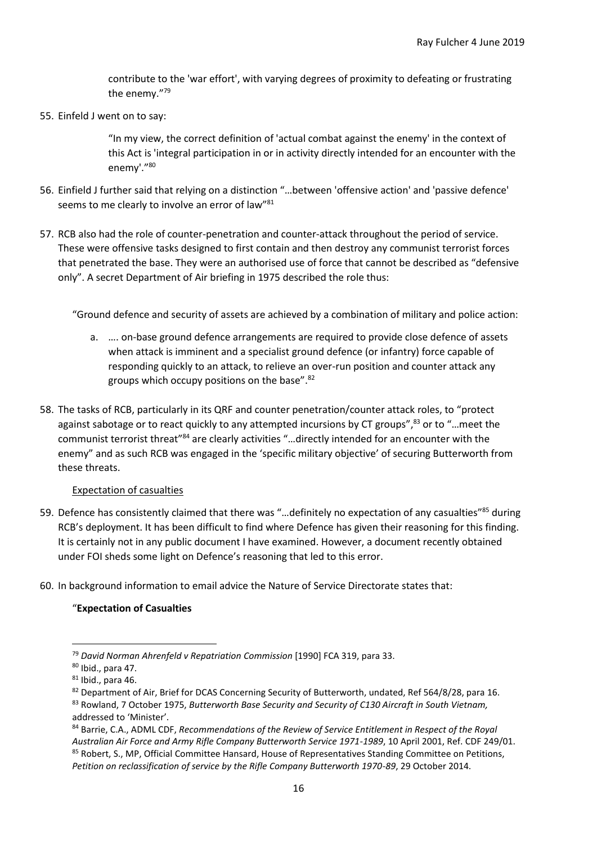contribute to the 'war effort', with varying degrees of proximity to defeating or frustrating the enemy." 79

55. Einfeld J went on to say:

"In my view, the correct definition of 'actual combat against the enemy' in the context of this Act is 'integral participation in or in activity directly intended for an encounter with the enemy'."<sup>80</sup>

- 56. Einfield J further said that relying on a distinction "…between 'offensive action' and 'passive defence' seems to me clearly to involve an error of law"<sup>81</sup>
- 57. RCB also had the role of counter-penetration and counter-attack throughout the period of service. These were offensive tasks designed to first contain and then destroy any communist terrorist forces that penetrated the base. They were an authorised use of force that cannot be described as "defensive only". A secret Department of Air briefing in 1975 described the role thus:

"Ground defence and security of assets are achieved by a combination of military and police action:

- a. …. on-base ground defence arrangements are required to provide close defence of assets when attack is imminent and a specialist ground defence (or infantry) force capable of responding quickly to an attack, to relieve an over-run position and counter attack any groups which occupy positions on the base".<sup>82</sup>
- 58. The tasks of RCB, particularly in its QRF and counter penetration/counter attack roles, to "protect against sabotage or to react quickly to any attempted incursions by CT groups",<sup>83</sup> or to "...meet the communist terrorist threat"<sup>84</sup> are clearly activities "...directly intended for an encounter with the enemy" and as such RCB was engaged in the 'specific military objective' of securing Butterworth from these threats.

### Expectation of casualties

- 59. Defence has consistently claimed that there was "...definitely no expectation of any casualties"<sup>85</sup> during RCB's deployment. It has been difficult to find where Defence has given their reasoning for this finding. It is certainly not in any public document I have examined. However, a document recently obtained under FOI sheds some light on Defence's reasoning that led to this error.
- 60. In background information to email advice the Nature of Service Directorate states that:

# "**Expectation of Casualties**

<sup>79</sup> *David Norman Ahrenfeld v Repatriation Commission* [1990] FCA 319, para 33.

 $80$  Ibid., para 47.

 $81$  Ibid., para 46.

<sup>82</sup> Department of Air, Brief for DCAS Concerning Security of Butterworth, undated, Ref 564/8/28, para 16. <sup>83</sup> Rowland, 7 October 1975, *Butterworth Base Security and Security of C130 Aircraft in South Vietnam,* addressed to 'Minister'.

<sup>84</sup> Barrie, C.A., ADML CDF, *Recommendations of the Review of Service Entitlement in Respect of the Royal Australian Air Force and Army Rifle Company Butterworth Service 1971-1989*, 10 April 2001, Ref. CDF 249/01. <sup>85</sup> Robert, S., MP, Official Committee Hansard, House of Representatives Standing Committee on Petitions, *Petition on reclassification of service by the Rifle Company Butterworth 1970-89*, 29 October 2014.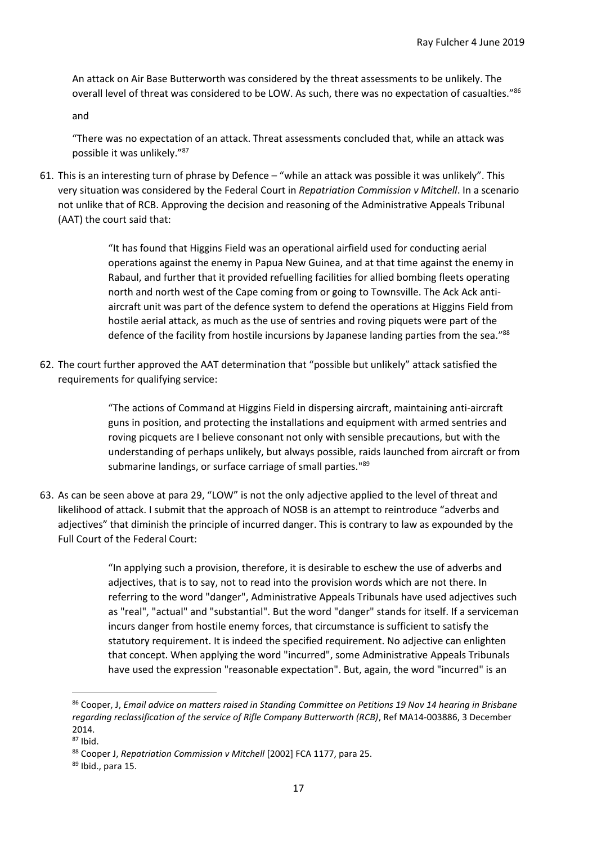An attack on Air Base Butterworth was considered by the threat assessments to be unlikely. The overall level of threat was considered to be LOW. As such, there was no expectation of casualties."<sup>86</sup>

and

"There was no expectation of an attack. Threat assessments concluded that, while an attack was possible it was unlikely." 87

61. This is an interesting turn of phrase by Defence – "while an attack was possible it was unlikely". This very situation was considered by the Federal Court in *Repatriation Commission v Mitchell*. In a scenario not unlike that of RCB. Approving the decision and reasoning of the Administrative Appeals Tribunal (AAT) the court said that:

> "It has found that Higgins Field was an operational airfield used for conducting aerial operations against the enemy in Papua New Guinea, and at that time against the enemy in Rabaul, and further that it provided refuelling facilities for allied bombing fleets operating north and north west of the Cape coming from or going to Townsville. The Ack Ack antiaircraft unit was part of the defence system to defend the operations at Higgins Field from hostile aerial attack, as much as the use of sentries and roving piquets were part of the defence of the facility from hostile incursions by Japanese landing parties from the sea."<sup>88</sup>

62. The court further approved the AAT determination that "possible but unlikely" attack satisfied the requirements for qualifying service:

> "The actions of Command at Higgins Field in dispersing aircraft, maintaining anti-aircraft guns in position, and protecting the installations and equipment with armed sentries and roving picquets are I believe consonant not only with sensible precautions, but with the understanding of perhaps unlikely, but always possible, raids launched from aircraft or from submarine landings, or surface carriage of small parties."<sup>89</sup>

63. As can be seen above at para 29, "LOW" is not the only adjective applied to the level of threat and likelihood of attack. I submit that the approach of NOSB is an attempt to reintroduce "adverbs and adjectives" that diminish the principle of incurred danger. This is contrary to law as expounded by the Full Court of the Federal Court:

> "In applying such a provision, therefore, it is desirable to eschew the use of adverbs and adjectives, that is to say, not to read into the provision words which are not there. In referring to the word "danger", Administrative Appeals Tribunals have used adjectives such as "real", "actual" and "substantial". But the word "danger" stands for itself. If a serviceman incurs danger from hostile enemy forces, that circumstance is sufficient to satisfy the statutory requirement. It is indeed the specified requirement. No adjective can enlighten that concept. When applying the word "incurred", some Administrative Appeals Tribunals have used the expression "reasonable expectation". But, again, the word "incurred" is an

<sup>86</sup> Cooper, J, *Email advice on matters raised in Standing Committee on Petitions 19 Nov 14 hearing in Brisbane regarding reclassification of the service of Rifle Company Butterworth (RCB)*, Ref MA14-003886, 3 December 2014.

 $87$  Ibid.

<sup>88</sup> Cooper J, *Repatriation Commission v Mitchell* [2002] FCA 1177, para 25.

<sup>89</sup> Ibid., para 15.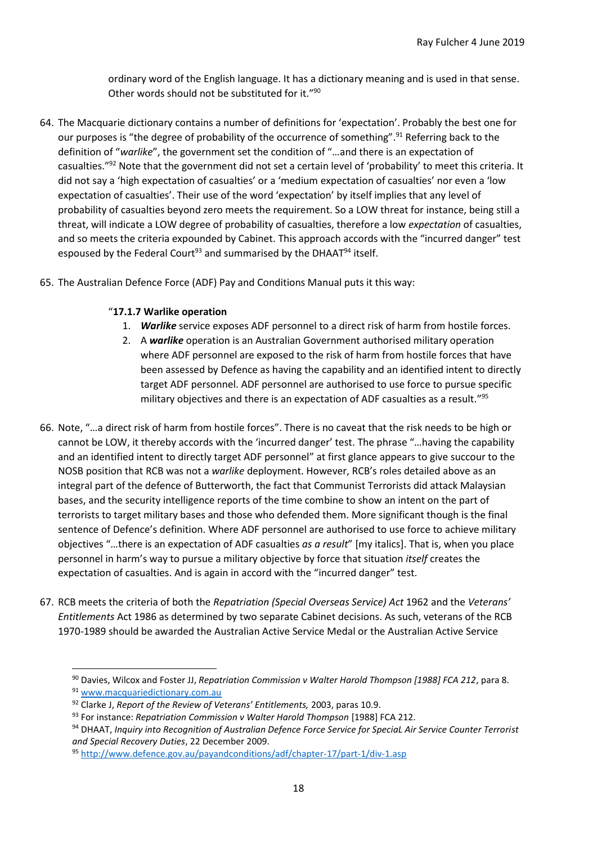ordinary word of the English language. It has a dictionary meaning and is used in that sense. Other words should not be substituted for it."<sup>90</sup>

- 64. The Macquarie dictionary contains a number of definitions for 'expectation'. Probably the best one for our purposes is "the degree of probability of the occurrence of something".<sup>91</sup> Referring back to the definition of "*warlike*", the government set the condition of "…and there is an expectation of casualties."<sup>92</sup> Note that the government did not set a certain level of 'probability' to meet this criteria. It did not say a 'high expectation of casualties' or a 'medium expectation of casualties' nor even a 'low expectation of casualties'. Their use of the word 'expectation' by itself implies that any level of probability of casualties beyond zero meets the requirement. So a LOW threat for instance, being still a threat, will indicate a LOW degree of probability of casualties, therefore a low *expectation* of casualties, and so meets the criteria expounded by Cabinet. This approach accords with the "incurred danger" test espoused by the Federal Court<sup>93</sup> and summarised by the DHAAT $94$  itself.
- 65. The Australian Defence Force (ADF) Pay and Conditions Manual puts it this way:

# "**17.1.7 Warlike operation**

- 1. *Warlike* service exposes ADF personnel to a direct risk of harm from hostile forces.
- 2. A *warlike* operation is an Australian Government authorised military operation where ADF personnel are exposed to the risk of harm from hostile forces that have been assessed by Defence as having the capability and an identified intent to directly target ADF personnel. ADF personnel are authorised to use force to pursue specific military objectives and there is an expectation of ADF casualties as a result." 95
- 66. Note, "…a direct risk of harm from hostile forces". There is no caveat that the risk needs to be high or cannot be LOW, it thereby accords with the 'incurred danger' test. The phrase "…having the capability and an identified intent to directly target ADF personnel" at first glance appears to give succour to the NOSB position that RCB was not a *warlike* deployment. However, RCB's roles detailed above as an integral part of the defence of Butterworth, the fact that Communist Terrorists did attack Malaysian bases, and the security intelligence reports of the time combine to show an intent on the part of terrorists to target military bases and those who defended them. More significant though is the final sentence of Defence's definition. Where ADF personnel are authorised to use force to achieve military objectives "…there is an expectation of ADF casualties *as a result*" [my italics]. That is, when you place personnel in harm's way to pursue a military objective by force that situation *itself* creates the expectation of casualties. And is again in accord with the "incurred danger" test.
- 67. RCB meets the criteria of both the *Repatriation (Special Overseas Service) Act* 1962 and the *Veterans' Entitlements* Act 1986 as determined by two separate Cabinet decisions. As such, veterans of the RCB 1970-1989 should be awarded the Australian Active Service Medal or the Australian Active Service

<sup>90</sup> Davies, Wilcox and Foster JJ, *Repatriation Commission v Walter Harold Thompson [1988] FCA 212*, para 8. <sup>91</sup> [www.macquariedictionary.com.au](http://www.macquariedictionary.com.au/)

<sup>92</sup> Clarke J, *Report of the Review of Veterans' Entitlements,* 2003, paras 10.9.

<sup>93</sup> For instance: *Repatriation Commission v Walter Harold Thompson* [1988] FCA 212.

<sup>94</sup> DHAAT, *Inquiry into Recognition of Australian Defence Force Service for SpeciaL Air Service Counter Terrorist and Special Recovery Duties*, 22 December 2009.

<sup>95</sup> <http://www.defence.gov.au/payandconditions/adf/chapter-17/part-1/div-1.asp>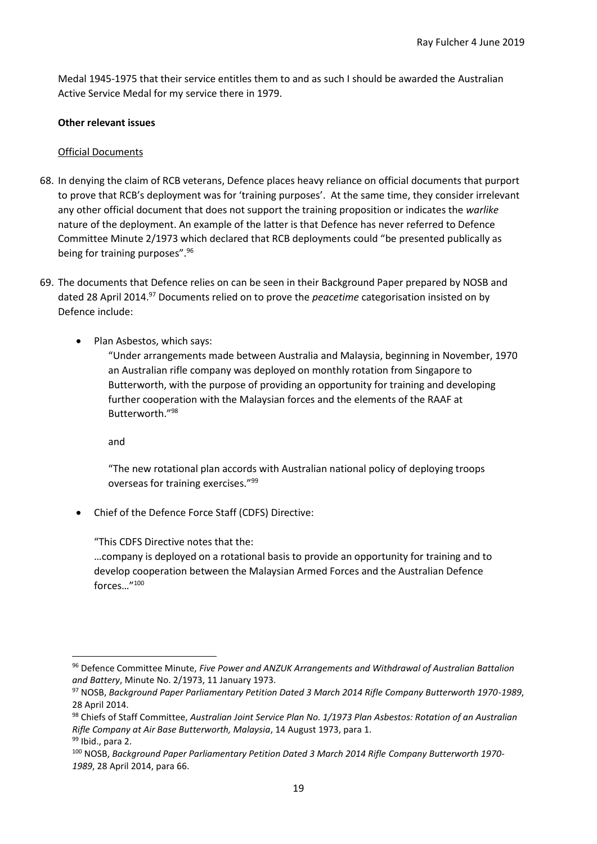Medal 1945-1975 that their service entitles them to and as such I should be awarded the Australian Active Service Medal for my service there in 1979.

## **Other relevant issues**

## Official Documents

- 68. In denying the claim of RCB veterans, Defence places heavy reliance on official documents that purport to prove that RCB's deployment was for 'training purposes'. At the same time, they consider irrelevant any other official document that does not support the training proposition or indicates the *warlike* nature of the deployment. An example of the latter is that Defence has never referred to Defence Committee Minute 2/1973 which declared that RCB deployments could "be presented publically as being for training purposes".<sup>96</sup>
- 69. The documents that Defence relies on can be seen in their Background Paper prepared by NOSB and dated 28 April 2014.<sup>97</sup> Documents relied on to prove the *peacetime* categorisation insisted on by Defence include:
	- Plan Asbestos, which says:

"Under arrangements made between Australia and Malaysia, beginning in November, 1970 an Australian rifle company was deployed on monthly rotation from Singapore to Butterworth, with the purpose of providing an opportunity for training and developing further cooperation with the Malaysian forces and the elements of the RAAF at Butterworth."<sup>98</sup>

and

"The new rotational plan accords with Australian national policy of deploying troops overseas for training exercises."<sup>99</sup>

• Chief of the Defence Force Staff (CDFS) Directive:

"This CDFS Directive notes that the:

…company is deployed on a rotational basis to provide an opportunity for training and to develop cooperation between the Malaysian Armed Forces and the Australian Defence forces…"<sup>100</sup>

<sup>96</sup> Defence Committee Minute, *Five Power and ANZUK Arrangements and Withdrawal of Australian Battalion and Battery*, Minute No. 2/1973, 11 January 1973.

<sup>97</sup> NOSB, *Background Paper Parliamentary Petition Dated 3 March 2014 Rifle Company Butterworth 1970-1989*, 28 April 2014.

<sup>98</sup> Chiefs of Staff Committee, *Australian Joint Service Plan No. 1/1973 Plan Asbestos: Rotation of an Australian Rifle Company at Air Base Butterworth, Malaysia*, 14 August 1973, para 1. 99 Ibid., para 2.

<sup>100</sup> NOSB, *Background Paper Parliamentary Petition Dated 3 March 2014 Rifle Company Butterworth 1970- 1989*, 28 April 2014, para 66.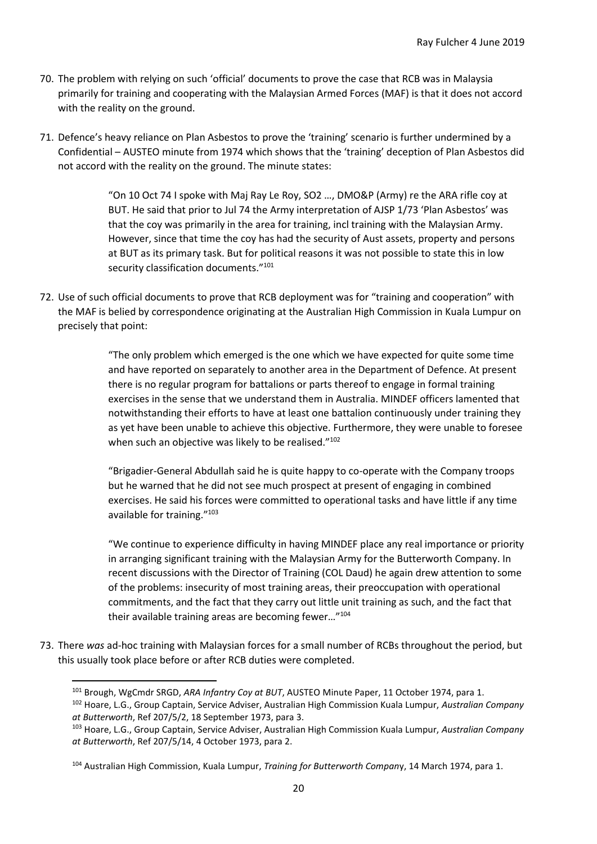- 70. The problem with relying on such 'official' documents to prove the case that RCB was in Malaysia primarily for training and cooperating with the Malaysian Armed Forces (MAF) is that it does not accord with the reality on the ground.
- 71. Defence's heavy reliance on Plan Asbestos to prove the 'training' scenario is further undermined by a Confidential – AUSTEO minute from 1974 which shows that the 'training' deception of Plan Asbestos did not accord with the reality on the ground. The minute states:

"On 10 Oct 74 I spoke with Maj Ray Le Roy, SO2 …, DMO&P (Army) re the ARA rifle coy at BUT. He said that prior to Jul 74 the Army interpretation of AJSP 1/73 'Plan Asbestos' was that the coy was primarily in the area for training, incl training with the Malaysian Army. However, since that time the coy has had the security of Aust assets, property and persons at BUT as its primary task. But for political reasons it was not possible to state this in low security classification documents."<sup>101</sup>

72. Use of such official documents to prove that RCB deployment was for "training and cooperation" with the MAF is belied by correspondence originating at the Australian High Commission in Kuala Lumpur on precisely that point:

> "The only problem which emerged is the one which we have expected for quite some time and have reported on separately to another area in the Department of Defence. At present there is no regular program for battalions or parts thereof to engage in formal training exercises in the sense that we understand them in Australia. MINDEF officers lamented that notwithstanding their efforts to have at least one battalion continuously under training they as yet have been unable to achieve this objective. Furthermore, they were unable to foresee when such an objective was likely to be realised."<sup>102</sup>

"Brigadier-General Abdullah said he is quite happy to co-operate with the Company troops but he warned that he did not see much prospect at present of engaging in combined exercises. He said his forces were committed to operational tasks and have little if any time available for training."<sup>103</sup>

"We continue to experience difficulty in having MINDEF place any real importance or priority in arranging significant training with the Malaysian Army for the Butterworth Company. In recent discussions with the Director of Training (COL Daud) he again drew attention to some of the problems: insecurity of most training areas, their preoccupation with operational commitments, and the fact that they carry out little unit training as such, and the fact that their available training areas are becoming fewer…"<sup>104</sup>

73. There *was* ad-hoc training with Malaysian forces for a small number of RCBs throughout the period, but this usually took place before or after RCB duties were completed.

<sup>101</sup> Brough, WgCmdr SRGD, *ARA Infantry Coy at BUT*, AUSTEO Minute Paper, 11 October 1974, para 1.

<sup>102</sup> Hoare, L.G., Group Captain, Service Adviser, Australian High Commission Kuala Lumpur, *Australian Company at Butterworth*, Ref 207/5/2, 18 September 1973, para 3.

<sup>103</sup> Hoare, L.G., Group Captain, Service Adviser, Australian High Commission Kuala Lumpur, *Australian Company at Butterworth*, Ref 207/5/14, 4 October 1973, para 2.

<sup>104</sup> Australian High Commission, Kuala Lumpur, *Training for Butterworth Compan*y, 14 March 1974, para 1.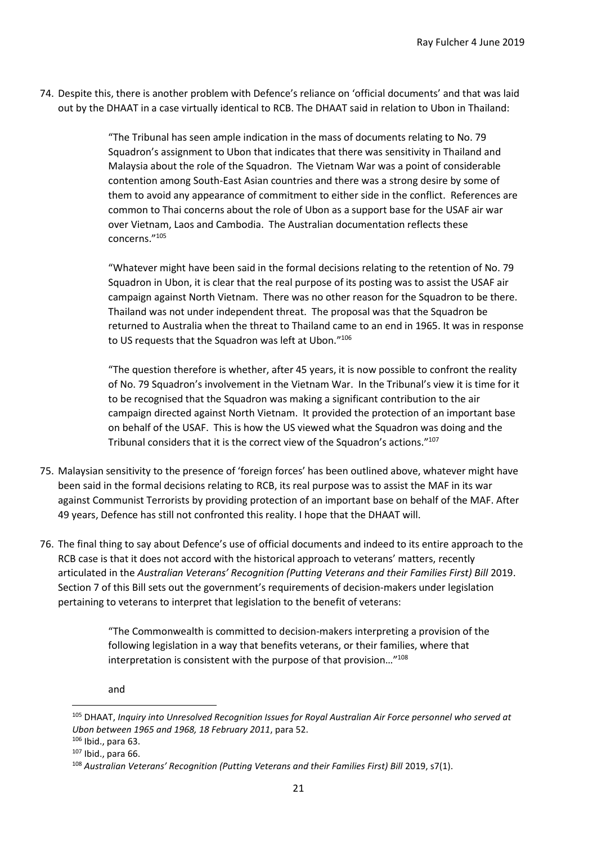74. Despite this, there is another problem with Defence's reliance on 'official documents' and that was laid out by the DHAAT in a case virtually identical to RCB. The DHAAT said in relation to Ubon in Thailand:

> "The Tribunal has seen ample indication in the mass of documents relating to No. 79 Squadron's assignment to Ubon that indicates that there was sensitivity in Thailand and Malaysia about the role of the Squadron. The Vietnam War was a point of considerable contention among South-East Asian countries and there was a strong desire by some of them to avoid any appearance of commitment to either side in the conflict. References are common to Thai concerns about the role of Ubon as a support base for the USAF air war over Vietnam, Laos and Cambodia. The Australian documentation reflects these concerns." 105

"Whatever might have been said in the formal decisions relating to the retention of No. 79 Squadron in Ubon, it is clear that the real purpose of its posting was to assist the USAF air campaign against North Vietnam. There was no other reason for the Squadron to be there. Thailand was not under independent threat. The proposal was that the Squadron be returned to Australia when the threat to Thailand came to an end in 1965. It was in response to US requests that the Squadron was left at Ubon."<sup>106</sup>

"The question therefore is whether, after 45 years, it is now possible to confront the reality of No. 79 Squadron's involvement in the Vietnam War. In the Tribunal's view it is time for it to be recognised that the Squadron was making a significant contribution to the air campaign directed against North Vietnam. It provided the protection of an important base on behalf of the USAF. This is how the US viewed what the Squadron was doing and the Tribunal considers that it is the correct view of the Squadron's actions."<sup>107</sup>

- 75. Malaysian sensitivity to the presence of 'foreign forces' has been outlined above, whatever might have been said in the formal decisions relating to RCB, its real purpose was to assist the MAF in its war against Communist Terrorists by providing protection of an important base on behalf of the MAF. After 49 years, Defence has still not confronted this reality. I hope that the DHAAT will.
- 76. The final thing to say about Defence's use of official documents and indeed to its entire approach to the RCB case is that it does not accord with the historical approach to veterans' matters, recently articulated in the *Australian Veterans' Recognition (Putting Veterans and their Families First) Bill* 2019. Section 7 of this Bill sets out the government's requirements of decision-makers under legislation pertaining to veterans to interpret that legislation to the benefit of veterans:

"The Commonwealth is committed to decision-makers interpreting a provision of the following legislation in a way that benefits veterans, or their families, where that interpretation is consistent with the purpose of that provision…"<sup>108</sup>

and

<sup>105</sup> DHAAT, *Inquiry into Unresolved Recognition Issues for Royal Australian Air Force personnel who served at Ubon between 1965 and 1968, 18 February 2011*, para 52.

<sup>106</sup> Ibid., para 63.

<sup>107</sup> Ibid., para 66.

<sup>&</sup>lt;sup>108</sup> Australian Veterans' Recognition (Putting Veterans and their Families First) Bill 2019, s7(1).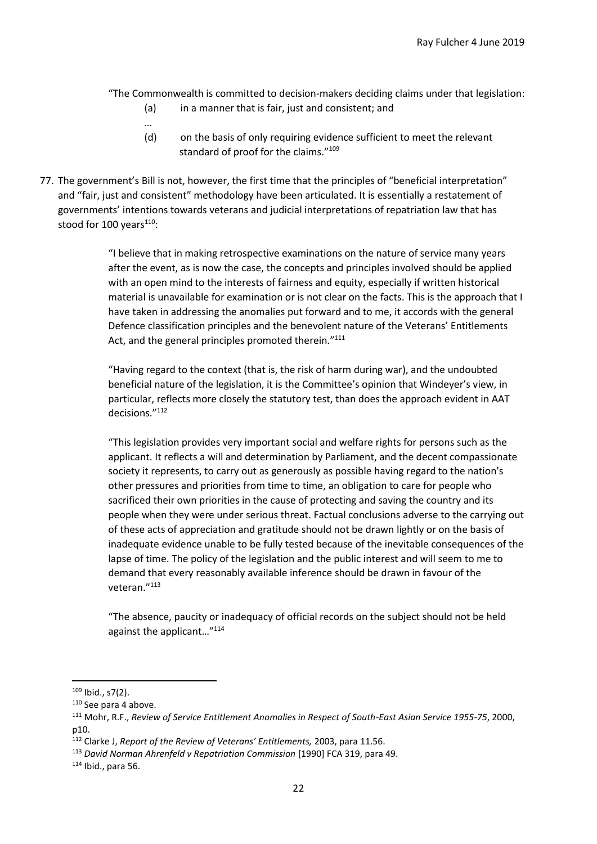"The Commonwealth is committed to decision-makers deciding claims under that legislation:

(a) in a manner that is fair, just and consistent; and

…

- (d) on the basis of only requiring evidence sufficient to meet the relevant standard of proof for the claims."<sup>109</sup>
- 77. The government's Bill is not, however, the first time that the principles of "beneficial interpretation" and "fair, just and consistent" methodology have been articulated. It is essentially a restatement of governments' intentions towards veterans and judicial interpretations of repatriation law that has stood for 100 years $110$ :

"I believe that in making retrospective examinations on the nature of service many years after the event, as is now the case, the concepts and principles involved should be applied with an open mind to the interests of fairness and equity, especially if written historical material is unavailable for examination or is not clear on the facts. This is the approach that I have taken in addressing the anomalies put forward and to me, it accords with the general Defence classification principles and the benevolent nature of the Veterans' Entitlements Act, and the general principles promoted therein."<sup>111</sup>

"Having regard to the context (that is, the risk of harm during war), and the undoubted beneficial nature of the legislation, it is the Committee's opinion that Windeyer's view, in particular, reflects more closely the statutory test, than does the approach evident in AAT decisions."<sup>112</sup>

"This legislation provides very important social and welfare rights for persons such as the applicant. It reflects a will and determination by Parliament, and the decent compassionate society it represents, to carry out as generously as possible having regard to the nation's other pressures and priorities from time to time, an obligation to care for people who sacrificed their own priorities in the cause of protecting and saving the country and its people when they were under serious threat. Factual conclusions adverse to the carrying out of these acts of appreciation and gratitude should not be drawn lightly or on the basis of inadequate evidence unable to be fully tested because of the inevitable consequences of the lapse of time. The policy of the legislation and the public interest and will seem to me to demand that every reasonably available inference should be drawn in favour of the veteran." 113

"The absence, paucity or inadequacy of official records on the subject should not be held against the applicant…"<sup>114</sup>

 $109$  Ibid., s7(2).

<sup>110</sup> See para 4 above.

<sup>111</sup> Mohr, R.F., *Review of Service Entitlement Anomalies in Respect of South-East Asian Service 1955-75*, 2000, p10.

<sup>112</sup> Clarke J, *Report of the Review of Veterans' Entitlements,* 2003, para 11.56.

<sup>113</sup> *David Norman Ahrenfeld v Repatriation Commission* [1990] FCA 319, para 49.

<sup>114</sup> Ibid., para 56.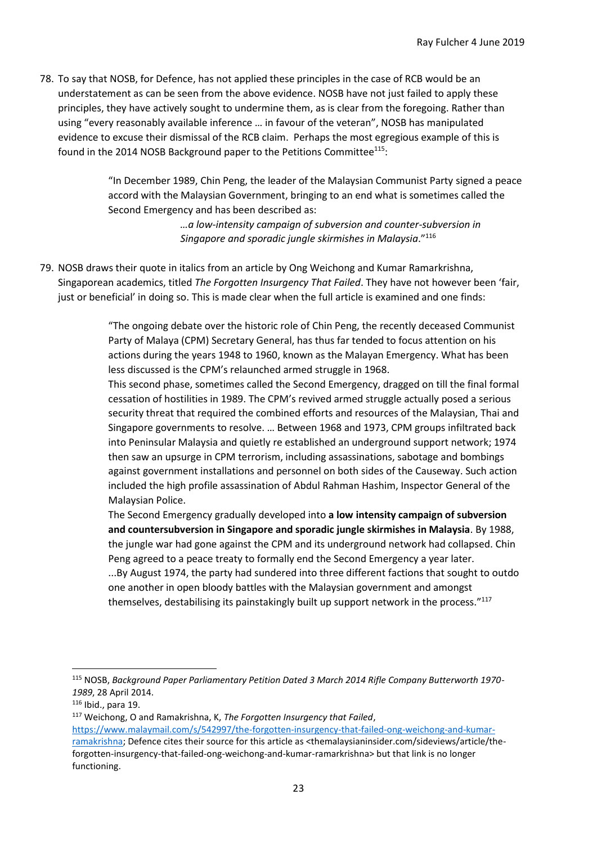78. To say that NOSB, for Defence, has not applied these principles in the case of RCB would be an understatement as can be seen from the above evidence. NOSB have not just failed to apply these principles, they have actively sought to undermine them, as is clear from the foregoing. Rather than using "every reasonably available inference … in favour of the veteran", NOSB has manipulated evidence to excuse their dismissal of the RCB claim. Perhaps the most egregious example of this is found in the 2014 NOSB Background paper to the Petitions Committee<sup>115</sup>:

> "In December 1989, Chin Peng, the leader of the Malaysian Communist Party signed a peace accord with the Malaysian Government, bringing to an end what is sometimes called the Second Emergency and has been described as:

> > *…a low-intensity campaign of subversion and counter-subversion in Singapore and sporadic jungle skirmishes in Malaysia*."<sup>116</sup>

79. NOSB draws their quote in italics from an article by Ong Weichong and Kumar Ramarkrishna, Singaporean academics, titled *The Forgotten Insurgency That Failed*. They have not however been 'fair, just or beneficial' in doing so. This is made clear when the full article is examined and one finds:

> "The ongoing debate over the historic role of Chin Peng, the recently deceased Communist Party of Malaya (CPM) Secretary General, has thus far tended to focus attention on his actions during the years 1948 to 1960, known as the Malayan Emergency. What has been less discussed is the CPM's relaunched armed struggle in 1968.

This second phase, sometimes called the Second Emergency, dragged on till the final formal cessation of hostilities in 1989. The CPM's revived armed struggle actually posed a serious security threat that required the combined efforts and resources of the Malaysian, Thai and Singapore governments to resolve. … Between 1968 and 1973, CPM groups infiltrated back into Peninsular Malaysia and quietly re established an underground support network; 1974 then saw an upsurge in CPM terrorism, including assassinations, sabotage and bombings against government installations and personnel on both sides of the Causeway. Such action included the high profile assassination of Abdul Rahman Hashim, Inspector General of the Malaysian Police.

The Second Emergency gradually developed into **a low intensity campaign of subversion and countersubversion in Singapore and sporadic jungle skirmishes in Malaysia**. By 1988, the jungle war had gone against the CPM and its underground network had collapsed. Chin Peng agreed to a peace treaty to formally end the Second Emergency a year later. ...By August 1974, the party had sundered into three different factions that sought to outdo one another in open bloody battles with the Malaysian government and amongst themselves, destabilising its painstakingly built up support network in the process."<sup>117</sup>

<sup>115</sup> NOSB, *Background Paper Parliamentary Petition Dated 3 March 2014 Rifle Company Butterworth 1970- 1989*, 28 April 2014.

<sup>116</sup> Ibid., para 19.

<sup>117</sup> Weichong, O and Ramakrishna, K, *The Forgotten Insurgency that Failed*,

[https://www.malaymail.com/s/542997/the-forgotten-insurgency-that-failed-ong-weichong-and-kumar](https://www.malaymail.com/s/542997/the-forgotten-insurgency-that-failed-ong-weichong-and-kumar-ramakrishna)[ramakrishna;](https://www.malaymail.com/s/542997/the-forgotten-insurgency-that-failed-ong-weichong-and-kumar-ramakrishna) Defence cites their source for this article as <themalaysianinsider.com/sideviews/article/theforgotten-insurgency-that-failed-ong-weichong-and-kumar-ramarkrishna> but that link is no longer functioning.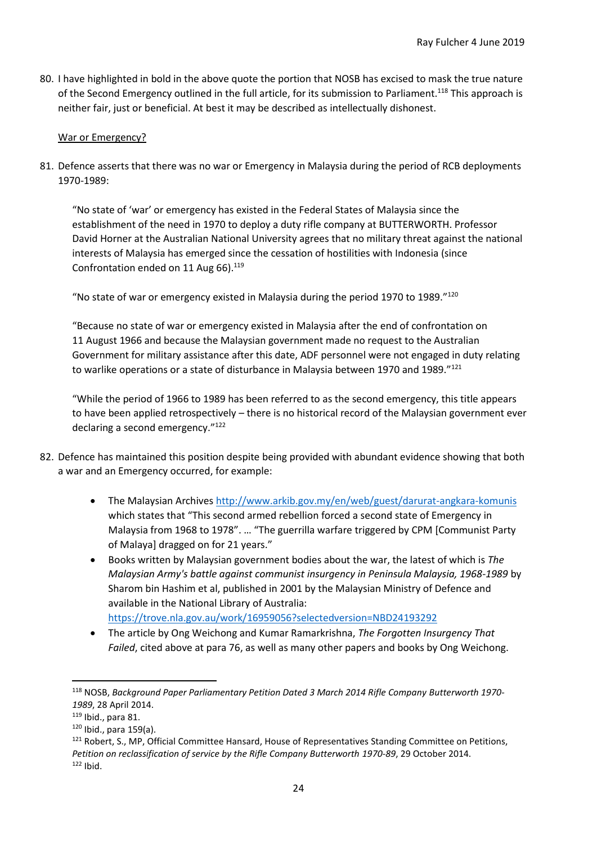80. I have highlighted in bold in the above quote the portion that NOSB has excised to mask the true nature of the Second Emergency outlined in the full article, for its submission to Parliament.<sup>118</sup> This approach is neither fair, just or beneficial. At best it may be described as intellectually dishonest.

## War or Emergency?

81. Defence asserts that there was no war or Emergency in Malaysia during the period of RCB deployments 1970-1989:

"No state of 'war' or emergency has existed in the Federal States of Malaysia since the establishment of the need in 1970 to deploy a duty rifle company at BUTTERWORTH. Professor David Horner at the Australian National University agrees that no military threat against the national interests of Malaysia has emerged since the cessation of hostilities with Indonesia (since Confrontation ended on 11 Aug 66). $119$ 

"No state of war or emergency existed in Malaysia during the period 1970 to 1989."<sup>120</sup>

"Because no state of war or emergency existed in Malaysia after the end of confrontation on 11 August 1966 and because the Malaysian government made no request to the Australian Government for military assistance after this date, ADF personnel were not engaged in duty relating to warlike operations or a state of disturbance in Malaysia between 1970 and 1989."121

"While the period of 1966 to 1989 has been referred to as the second emergency, this title appears to have been applied retrospectively – there is no historical record of the Malaysian government ever declaring a second emergency."<sup>122</sup>

- 82. Defence has maintained this position despite being provided with abundant evidence showing that both a war and an Emergency occurred, for example:
	- The Malaysian Archives<http://www.arkib.gov.my/en/web/guest/darurat-angkara-komunis> which states that "This second armed rebellion forced a second state of Emergency in Malaysia from 1968 to 1978". … "The guerrilla warfare triggered by CPM [Communist Party of Malaya] dragged on for 21 years."
	- Books written by Malaysian government bodies about the war, the latest of which is *The Malaysian Army's battle against communist insurgency in Peninsula Malaysia, 1968-1989* by Sharom bin Hashim et al, published in 2001 by the Malaysian Ministry of Defence and available in the National Library of Australia: <https://trove.nla.gov.au/work/16959056?selectedversion=NBD24193292>
	- The article by Ong Weichong and Kumar Ramarkrishna, *The Forgotten Insurgency That Failed*, cited above at para 76, as well as many other papers and books by Ong Weichong.

<sup>118</sup> NOSB, *Background Paper Parliamentary Petition Dated 3 March 2014 Rifle Company Butterworth 1970- 1989*, 28 April 2014.

<sup>119</sup> Ibid., para 81.

 $120$  Ibid., para 159(a).

<sup>&</sup>lt;sup>121</sup> Robert, S., MP, Official Committee Hansard, House of Representatives Standing Committee on Petitions, *Petition on reclassification of service by the Rifle Company Butterworth 1970-89*, 29 October 2014.  $122$  Ibid.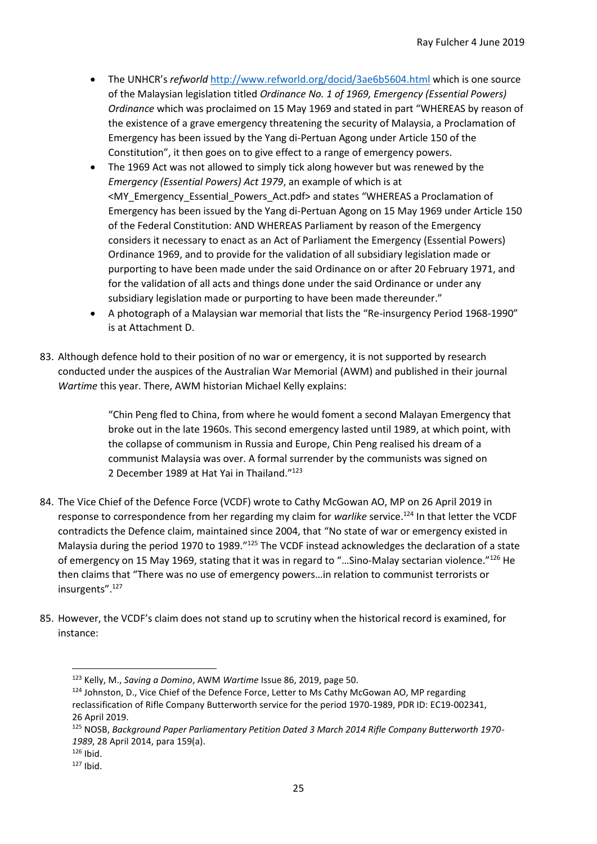- The UNHCR's *refworld* <http://www.refworld.org/docid/3ae6b5604.html> which is one source of the Malaysian legislation titled *Ordinance No. 1 of 1969, Emergency (Essential Powers) Ordinance* which was proclaimed on 15 May 1969 and stated in part "WHEREAS by reason of the existence of a grave emergency threatening the security of Malaysia, a Proclamation of Emergency has been issued by the Yang di-Pertuan Agong under Article 150 of the Constitution", it then goes on to give effect to a range of emergency powers.
- The 1969 Act was not allowed to simply tick along however but was renewed by the *Emergency (Essential Powers) Act 1979*, an example of which is at <MY\_Emergency\_Essential\_Powers\_Act.pdf> and states "WHEREAS a Proclamation of Emergency has been issued by the Yang di-Pertuan Agong on 15 May 1969 under Article 150 of the Federal Constitution: AND WHEREAS Parliament by reason of the Emergency considers it necessary to enact as an Act of Parliament the Emergency (Essential Powers) Ordinance 1969, and to provide for the validation of all subsidiary legislation made or purporting to have been made under the said Ordinance on or after 20 February 1971, and for the validation of all acts and things done under the said Ordinance or under any subsidiary legislation made or purporting to have been made thereunder."
- A photograph of a Malaysian war memorial that lists the "Re-insurgency Period 1968-1990" is at Attachment D.
- 83. Although defence hold to their position of no war or emergency, it is not supported by research conducted under the auspices of the Australian War Memorial (AWM) and published in their journal *Wartime* this year. There, AWM historian Michael Kelly explains:

"Chin Peng fled to China, from where he would foment a second Malayan Emergency that broke out in the late 1960s. This second emergency lasted until 1989, at which point, with the collapse of communism in Russia and Europe, Chin Peng realised his dream of a communist Malaysia was over. A formal surrender by the communists was signed on 2 December 1989 at Hat Yai in Thailand."<sup>123</sup>

- 84. The Vice Chief of the Defence Force (VCDF) wrote to Cathy McGowan AO, MP on 26 April 2019 in response to correspondence from her regarding my claim for *warlike* service.<sup>124</sup> In that letter the VCDF contradicts the Defence claim, maintained since 2004, that "No state of war or emergency existed in Malaysia during the period 1970 to 1989."<sup>125</sup> The VCDF instead acknowledges the declaration of a state of emergency on 15 May 1969, stating that it was in regard to "…Sino-Malay sectarian violence."<sup>126</sup> He then claims that "There was no use of emergency powers…in relation to communist terrorists or insurgents".<sup>127</sup>
- 85. However, the VCDF's claim does not stand up to scrutiny when the historical record is examined, for instance:

<sup>123</sup> Kelly, M., *Saving a Domino*, AWM *Wartime* Issue 86, 2019, page 50.

<sup>&</sup>lt;sup>124</sup> Johnston, D., Vice Chief of the Defence Force, Letter to Ms Cathy McGowan AO, MP regarding reclassification of Rifle Company Butterworth service for the period 1970-1989, PDR ID: EC19-002341, 26 April 2019.

<sup>125</sup> NOSB, *Background Paper Parliamentary Petition Dated 3 March 2014 Rifle Company Butterworth 1970- 1989*, 28 April 2014, para 159(a).

 $126$  Ibid.

 $127$  Ibid.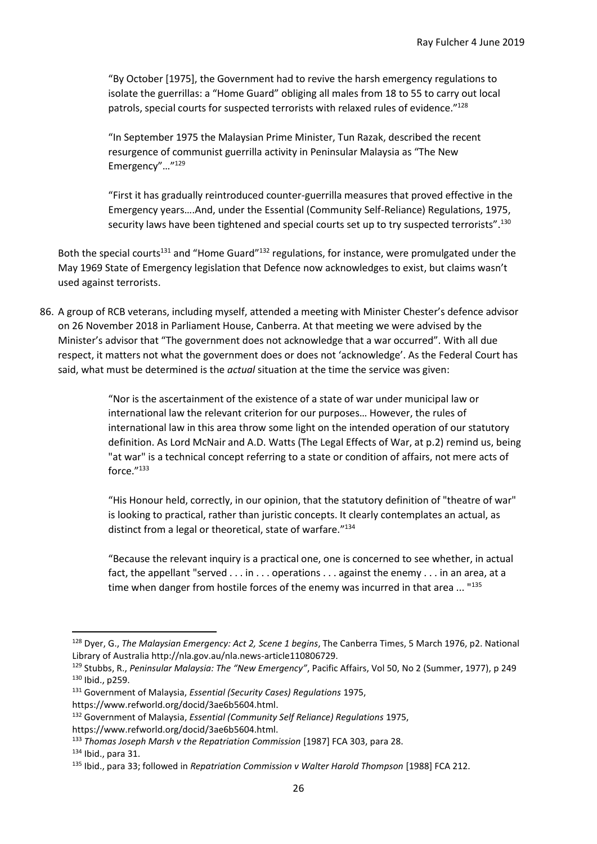"By October [1975], the Government had to revive the harsh emergency regulations to isolate the guerrillas: a "Home Guard" obliging all males from 18 to 55 to carry out local patrols, special courts for suspected terrorists with relaxed rules of evidence."128

"In September 1975 the Malaysian Prime Minister, Tun Razak, described the recent resurgence of communist guerrilla activity in Peninsular Malaysia as "The New Emergency"…"<sup>129</sup>

"First it has gradually reintroduced counter-guerrilla measures that proved effective in the Emergency years….And, under the Essential (Community Self-Reliance) Regulations, 1975, security laws have been tightened and special courts set up to try suspected terrorists".<sup>130</sup>

Both the special courts<sup>131</sup> and "Home Guard"<sup>132</sup> regulations, for instance, were promulgated under the May 1969 State of Emergency legislation that Defence now acknowledges to exist, but claims wasn't used against terrorists.

86. A group of RCB veterans, including myself, attended a meeting with Minister Chester's defence advisor on 26 November 2018 in Parliament House, Canberra. At that meeting we were advised by the Minister's advisor that "The government does not acknowledge that a war occurred". With all due respect, it matters not what the government does or does not 'acknowledge'. As the Federal Court has said, what must be determined is the *actual* situation at the time the service was given:

> "Nor is the ascertainment of the existence of a state of war under municipal law or international law the relevant criterion for our purposes… However, the rules of international law in this area throw some light on the intended operation of our statutory definition. As Lord McNair and A.D. Watts (The Legal Effects of War, at p.2) remind us, being "at war" is a technical concept referring to a state or condition of affairs, not mere acts of force." 133

"His Honour held, correctly, in our opinion, that the statutory definition of "theatre of war" is looking to practical, rather than juristic concepts. It clearly contemplates an actual, as distinct from a legal or theoretical, state of warfare."134

"Because the relevant inquiry is a practical one, one is concerned to see whether, in actual fact, the appellant "served . . . in . . . operations . . . against the enemy . . . in an area, at a time when danger from hostile forces of the enemy was incurred in that area ... "135

<sup>128</sup> Dyer, G., *The Malaysian Emergency: Act 2, Scene 1 begins*, The Canberra Times, 5 March 1976, p2. National Library of Australia http://nla.gov.au/nla.news-article110806729.

<sup>129</sup> Stubbs, R., *Peninsular Malaysia: The "New Emergency"*, Pacific Affairs, Vol 50, No 2 (Summer, 1977), p 249 <sup>130</sup> Ibid., p259.

<sup>131</sup> Government of Malaysia, *Essential (Security Cases) Regulations* 1975,

https://www.refworld.org/docid/3ae6b5604.html.

<sup>132</sup> Government of Malaysia, *Essential (Community Self Reliance) Regulations* 1975, https://www.refworld.org/docid/3ae6b5604.html.

<sup>133</sup> *Thomas Joseph Marsh v the Repatriation Commission* [1987] FCA 303, para 28.

 $134$  Ibid., para 31.

<sup>135</sup> Ibid., para 33; followed in *Repatriation Commission v Walter Harold Thompson* [1988] FCA 212.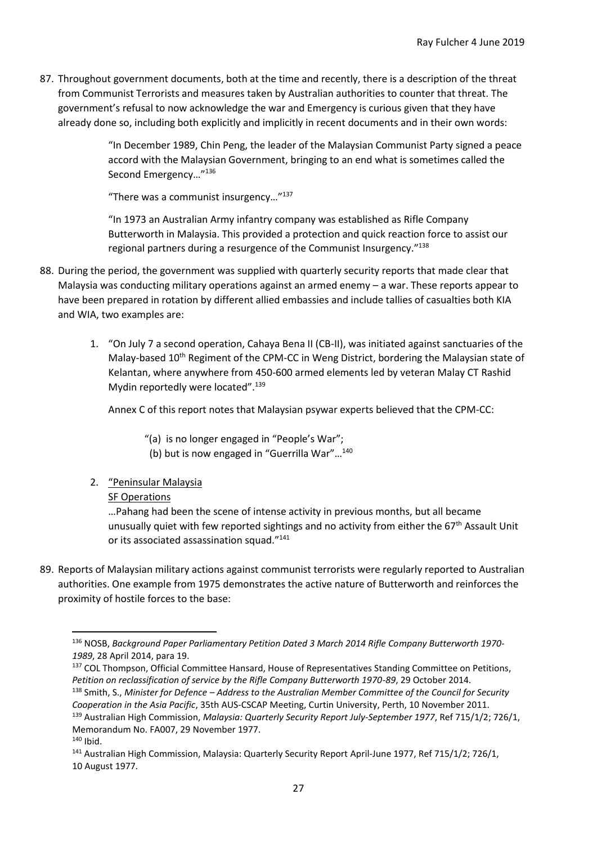87. Throughout government documents, both at the time and recently, there is a description of the threat from Communist Terrorists and measures taken by Australian authorities to counter that threat. The government's refusal to now acknowledge the war and Emergency is curious given that they have already done so, including both explicitly and implicitly in recent documents and in their own words:

> "In December 1989, Chin Peng, the leader of the Malaysian Communist Party signed a peace accord with the Malaysian Government, bringing to an end what is sometimes called the Second Emergency…"<sup>136</sup>

"There was a communist insurgency…"<sup>137</sup>

"In 1973 an Australian Army infantry company was established as Rifle Company Butterworth in Malaysia. This provided a protection and quick reaction force to assist our regional partners during a resurgence of the Communist Insurgency."<sup>138</sup>

- 88. During the period, the government was supplied with quarterly security reports that made clear that Malaysia was conducting military operations against an armed enemy – a war. These reports appear to have been prepared in rotation by different allied embassies and include tallies of casualties both KIA and WIA, two examples are:
	- 1. "On July 7 a second operation, Cahaya Bena II (CB-II), was initiated against sanctuaries of the Malay-based 10<sup>th</sup> Regiment of the CPM-CC in Weng District, bordering the Malaysian state of Kelantan, where anywhere from 450-600 armed elements led by veteran Malay CT Rashid Mydin reportedly were located".<sup>139</sup>

Annex C of this report notes that Malaysian psywar experts believed that the CPM-CC:

- "(a) is no longer engaged in "People's War";
- (b) but is now engaged in "Guerrilla War"…<sup>140</sup>
- 2. "Peninsular Malaysia

### **SF Operations**

…Pahang had been the scene of intense activity in previous months, but all became unusually quiet with few reported sightings and no activity from either the 67<sup>th</sup> Assault Unit or its associated assassination squad."<sup>141</sup>

89. Reports of Malaysian military actions against communist terrorists were regularly reported to Australian authorities. One example from 1975 demonstrates the active nature of Butterworth and reinforces the proximity of hostile forces to the base:

<sup>136</sup> NOSB, *Background Paper Parliamentary Petition Dated 3 March 2014 Rifle Company Butterworth 1970- 1989*, 28 April 2014, para 19.

<sup>&</sup>lt;sup>137</sup> COL Thompson, Official Committee Hansard, House of Representatives Standing Committee on Petitions, *Petition on reclassification of service by the Rifle Company Butterworth 1970-89*, 29 October 2014.

<sup>138</sup> Smith, S., *Minister for Defence – Address to the Australian Member Committee of the Council for Security Cooperation in the Asia Pacific*, 35th AUS-CSCAP Meeting, Curtin University, Perth, 10 November 2011. <sup>139</sup> Australian High Commission, *Malaysia: Quarterly Security Report July-September 1977*, Ref 715/1/2; 726/1, Memorandum No. FA007, 29 November 1977.

<sup>140</sup> Ibid.

<sup>&</sup>lt;sup>141</sup> Australian High Commission, Malaysia: Quarterly Security Report April-June 1977, Ref 715/1/2; 726/1, 10 August 1977.